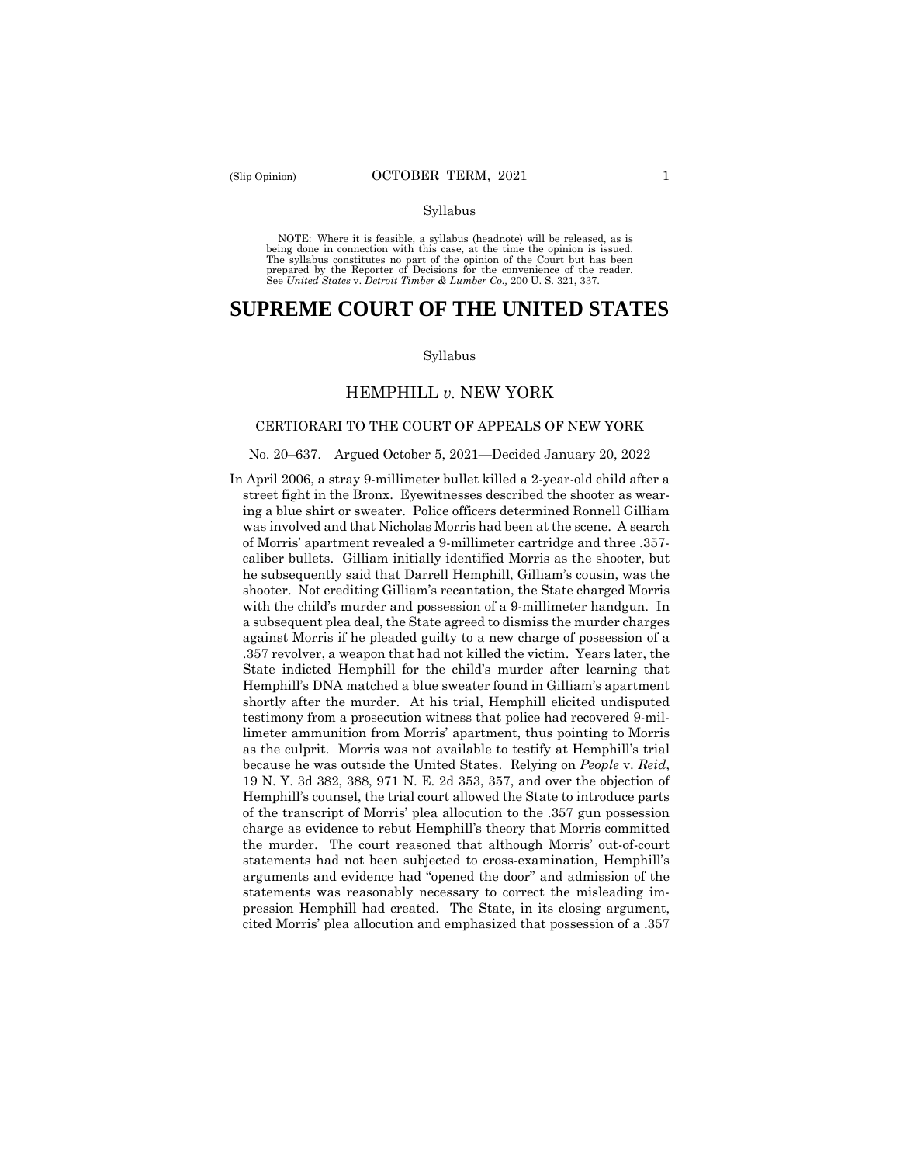#### Syllabus

 NOTE: Where it is feasible, a syllabus (headnote) will be released, as is being done in connection with this case, at the time the opinion is issued. The syllabus constitutes no part of the opinion of the Court but has been<br>prepared by the Reporter of Decisions for the convenience of the reader.<br>See United States v. Detroit Timber & Lumber Co., 200 U.S. 321, 337.

# **SUPREME COURT OF THE UNITED STATES**

#### Syllabus

## HEMPHILL *v.* NEW YORK

#### CERTIORARI TO THE COURT OF APPEALS OF NEW YORK

#### No. 20–637. Argued October 5, 2021—Decided January 20, 2022

 was involved and that Nicholas Morris had been at the scene. A search In April 2006, a stray 9-millimeter bullet killed a 2-year-old child after a street fight in the Bronx. Eyewitnesses described the shooter as wearing a blue shirt or sweater. Police officers determined Ronnell Gilliam of Morris' apartment revealed a 9-millimeter cartridge and three .357 caliber bullets. Gilliam initially identified Morris as the shooter, but he subsequently said that Darrell Hemphill, Gilliam's cousin, was the shooter. Not crediting Gilliam's recantation, the State charged Morris with the child's murder and possession of a 9-millimeter handgun. In a subsequent plea deal, the State agreed to dismiss the murder charges against Morris if he pleaded guilty to a new charge of possession of a .357 revolver, a weapon that had not killed the victim. Years later, the State indicted Hemphill for the child's murder after learning that Hemphill's DNA matched a blue sweater found in Gilliam's apartment shortly after the murder. At his trial, Hemphill elicited undisputed testimony from a prosecution witness that police had recovered 9-millimeter ammunition from Morris' apartment, thus pointing to Morris as the culprit. Morris was not available to testify at Hemphill's trial because he was outside the United States. Relying on *People* v. *Reid*, 19 N. Y. 3d 382, 388, 971 N. E. 2d 353, 357, and over the objection of Hemphill's counsel, the trial court allowed the State to introduce parts of the transcript of Morris' plea allocution to the .357 gun possession charge as evidence to rebut Hemphill's theory that Morris committed the murder. The court reasoned that although Morris' out-of-court statements had not been subjected to cross-examination, Hemphill's arguments and evidence had "opened the door" and admission of the statements was reasonably necessary to correct the misleading impression Hemphill had created. The State, in its closing argument, cited Morris' plea allocution and emphasized that possession of a .357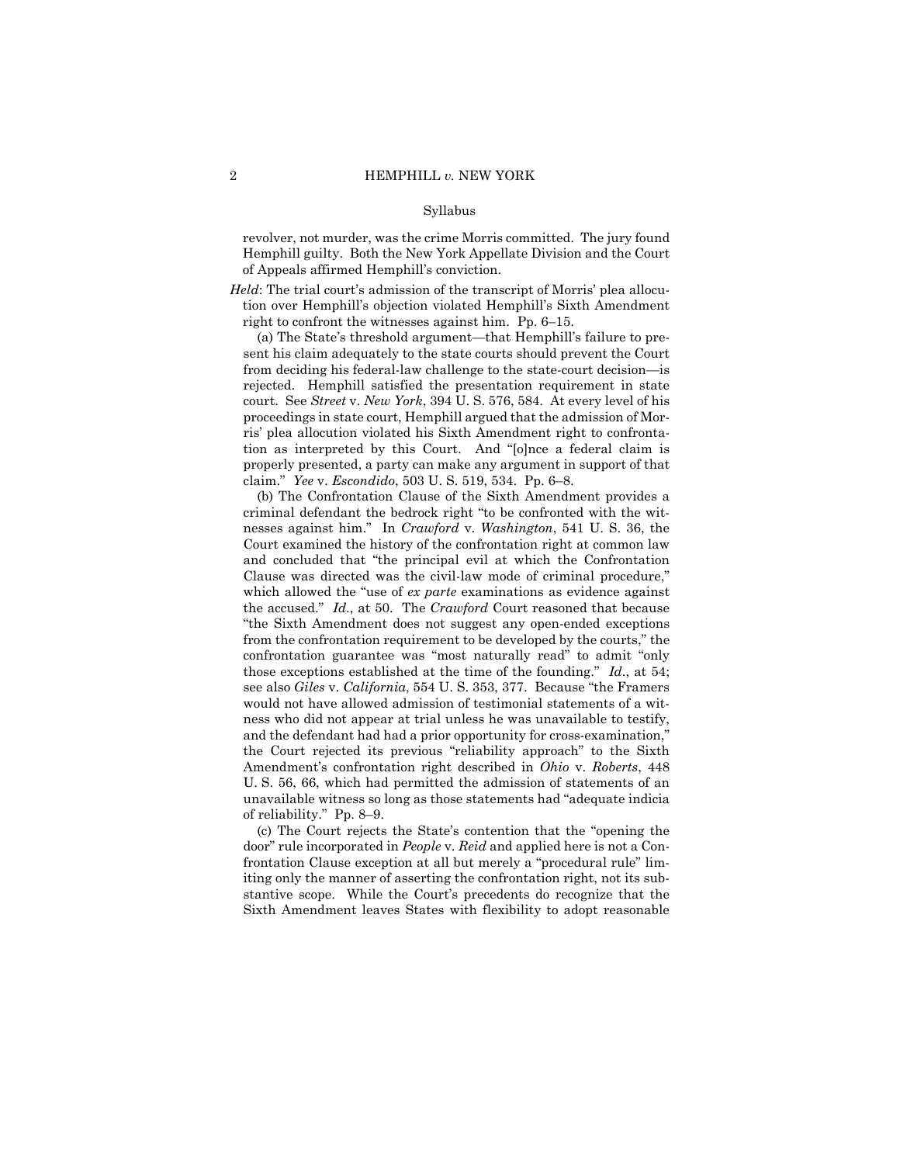#### Syllabus

revolver, not murder, was the crime Morris committed. The jury found Hemphill guilty. Both the New York Appellate Division and the Court of Appeals affirmed Hemphill's conviction.

*Held*: The trial court's admission of the transcript of Morris' plea allocution over Hemphill's objection violated Hemphill's Sixth Amendment right to confront the witnesses against him. Pp. 6–15.

(a) The State's threshold argument—that Hemphill's failure to present his claim adequately to the state courts should prevent the Court from deciding his federal-law challenge to the state-court decision—is rejected. Hemphill satisfied the presentation requirement in state court. See *Street* v. *New York*, 394 U. S. 576, 584. At every level of his proceedings in state court, Hemphill argued that the admission of Morris' plea allocution violated his Sixth Amendment right to confrontation as interpreted by this Court. And "[o]nce a federal claim is properly presented, a party can make any argument in support of that claim." *Yee* v. *Escondido*, 503 U. S. 519, 534. Pp. 6–8.

(b) The Confrontation Clause of the Sixth Amendment provides a criminal defendant the bedrock right "to be confronted with the witnesses against him." In *Crawford* v. *Washington*, 541 U. S. 36, the Court examined the history of the confrontation right at common law and concluded that "the principal evil at which the Confrontation Clause was directed was the civil-law mode of criminal procedure," which allowed the "use of *ex parte* examinations as evidence against the accused." *Id*., at 50. The *Crawford* Court reasoned that because "the Sixth Amendment does not suggest any open-ended exceptions from the confrontation requirement to be developed by the courts," the confrontation guarantee was "most naturally read" to admit "only those exceptions established at the time of the founding." *Id*., at 54; see also *Giles* v. *California*, 554 U. S. 353, 377. Because "the Framers would not have allowed admission of testimonial statements of a witness who did not appear at trial unless he was unavailable to testify, and the defendant had had a prior opportunity for cross-examination, the Court rejected its previous "reliability approach" to the Sixth Amendment's confrontation right described in *Ohio* v. *Roberts*, 448 U. S. 56, 66, which had permitted the admission of statements of an unavailable witness so long as those statements had "adequate indicia of reliability." Pp. 8–9.

(c) The Court rejects the State's contention that the "opening the door" rule incorporated in *People* v. *Reid* and applied here is not a Confrontation Clause exception at all but merely a "procedural rule" limiting only the manner of asserting the confrontation right, not its substantive scope. While the Court's precedents do recognize that the Sixth Amendment leaves States with flexibility to adopt reasonable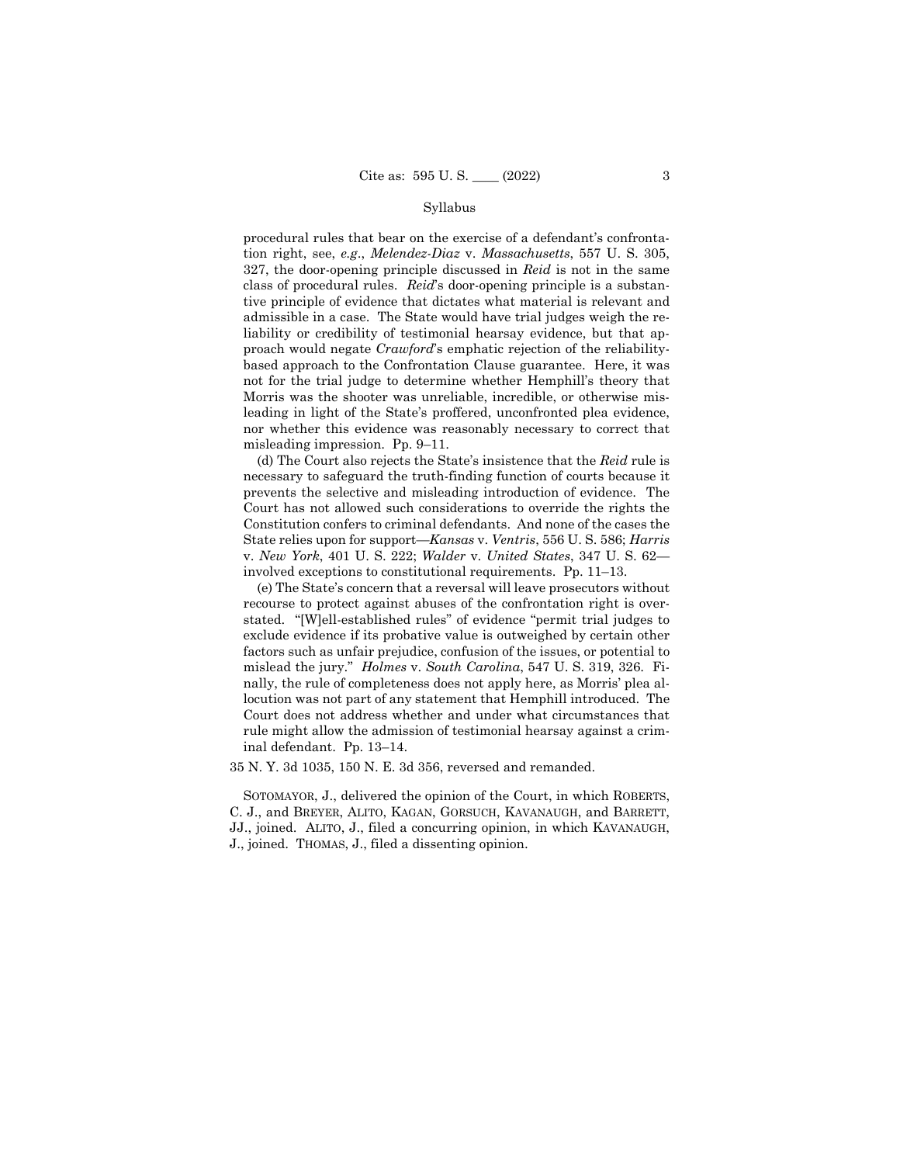#### Syllabus

procedural rules that bear on the exercise of a defendant's confrontation right, see, *e.g*., *Melendez-Diaz* v. *Massachusetts*, 557 U. S. 305, 327, the door-opening principle discussed in *Reid* is not in the same class of procedural rules. *Reid*'s door-opening principle is a substantive principle of evidence that dictates what material is relevant and admissible in a case. The State would have trial judges weigh the reliability or credibility of testimonial hearsay evidence, but that approach would negate *Crawford*'s emphatic rejection of the reliabilitybased approach to the Confrontation Clause guarantee. Here, it was not for the trial judge to determine whether Hemphill's theory that Morris was the shooter was unreliable, incredible, or otherwise misleading in light of the State's proffered, unconfronted plea evidence, nor whether this evidence was reasonably necessary to correct that misleading impression. Pp. 9–11.

(d) The Court also rejects the State's insistence that the *Reid* rule is necessary to safeguard the truth-finding function of courts because it prevents the selective and misleading introduction of evidence. The Court has not allowed such considerations to override the rights the Constitution confers to criminal defendants. And none of the cases the State relies upon for support—*Kansas* v. *Ventris*, 556 U. S. 586; *Harris*  v. *New York*, 401 U. S. 222; *Walder* v. *United States*, 347 U. S. 62 involved exceptions to constitutional requirements. Pp. 11–13.

(e) The State's concern that a reversal will leave prosecutors without recourse to protect against abuses of the confrontation right is overstated. "[W]ell-established rules" of evidence "permit trial judges to exclude evidence if its probative value is outweighed by certain other factors such as unfair prejudice, confusion of the issues, or potential to mislead the jury." *Holmes* v. *South Carolina*, 547 U. S. 319, 326. Finally, the rule of completeness does not apply here, as Morris' plea allocution was not part of any statement that Hemphill introduced. The Court does not address whether and under what circumstances that rule might allow the admission of testimonial hearsay against a criminal defendant. Pp. 13–14.

35 N. Y. 3d 1035, 150 N. E. 3d 356, reversed and remanded.

SOTOMAYOR, J., delivered the opinion of the Court, in which ROBERTS, C. J., and BREYER, ALITO, KAGAN, GORSUCH, KAVANAUGH, and BARRETT, JJ., joined. ALITO, J., filed a concurring opinion, in which KAVANAUGH, J., joined. THOMAS, J., filed a dissenting opinion.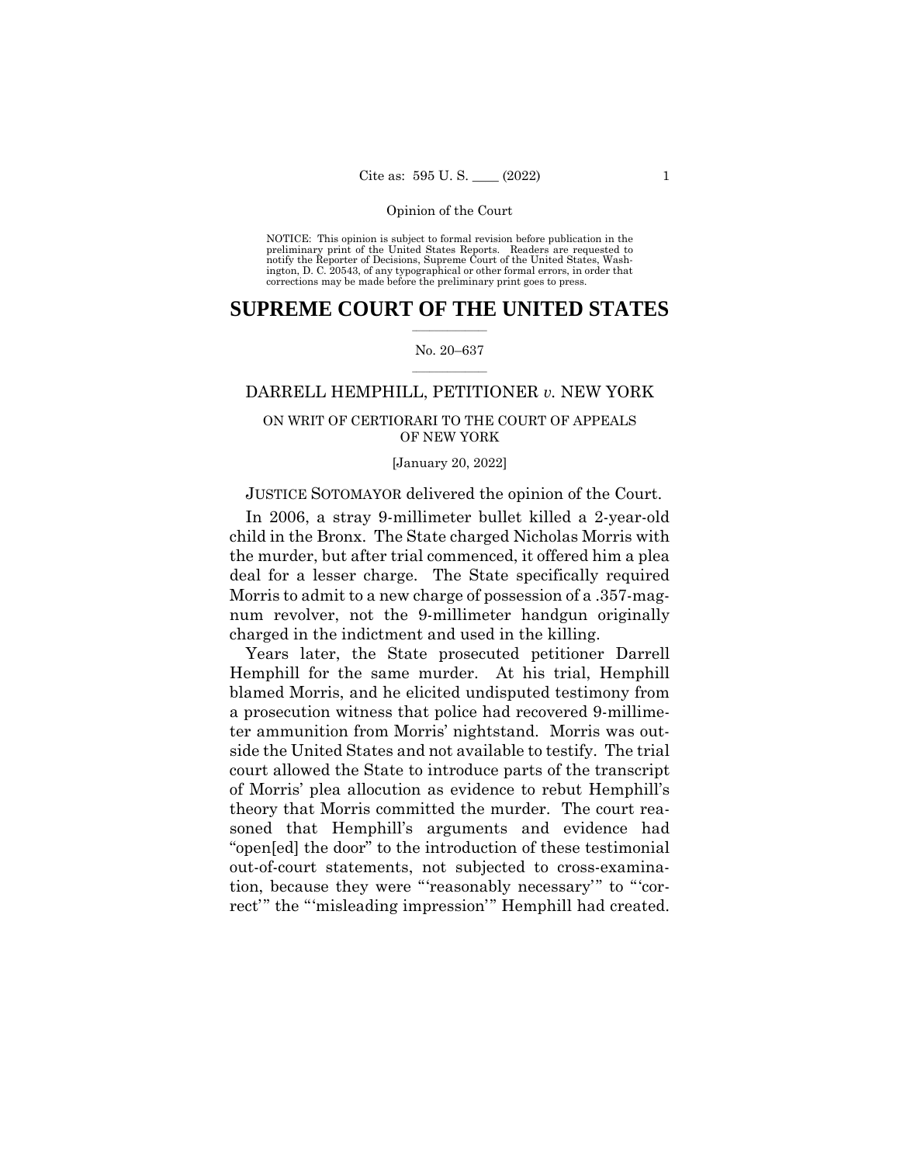NOTICE: This opinion is subject to formal revision before publication in the preliminary print of the United States Reports. Readers are requested to notify the Reporter of Decisions, Supreme Court of the United States, Wash-ington, D. C. 20543, of any typographical or other formal errors, in order that corrections may be made before the preliminary print goes to press.

## $\frac{1}{2}$  ,  $\frac{1}{2}$  ,  $\frac{1}{2}$  ,  $\frac{1}{2}$  ,  $\frac{1}{2}$  ,  $\frac{1}{2}$  ,  $\frac{1}{2}$ **SUPREME COURT OF THE UNITED STATES**

#### $\frac{1}{2}$  ,  $\frac{1}{2}$  ,  $\frac{1}{2}$  ,  $\frac{1}{2}$  ,  $\frac{1}{2}$  ,  $\frac{1}{2}$ No. 20–637

## DARRELL HEMPHILL, PETITIONER *v.* NEW YORK

## ON WRIT OF CERTIORARI TO THE COURT OF APPEALS OF NEW YORK

#### [January 20, 2022]

## JUSTICE SOTOMAYOR delivered the opinion of the Court.

In 2006, a stray 9-millimeter bullet killed a 2-year-old child in the Bronx. The State charged Nicholas Morris with the murder, but after trial commenced, it offered him a plea deal for a lesser charge. The State specifically required Morris to admit to a new charge of possession of a .357-magnum revolver, not the 9-millimeter handgun originally charged in the indictment and used in the killing.

Years later, the State prosecuted petitioner Darrell Hemphill for the same murder. At his trial, Hemphill blamed Morris, and he elicited undisputed testimony from a prosecution witness that police had recovered 9-millimeter ammunition from Morris' nightstand. Morris was outside the United States and not available to testify. The trial court allowed the State to introduce parts of the transcript of Morris' plea allocution as evidence to rebut Hemphill's theory that Morris committed the murder. The court reasoned that Hemphill's arguments and evidence had "open[ed] the door" to the introduction of these testimonial out-of-court statements, not subjected to cross-examination, because they were "'reasonably necessary'" to "'correct'" the "'misleading impression'" Hemphill had created.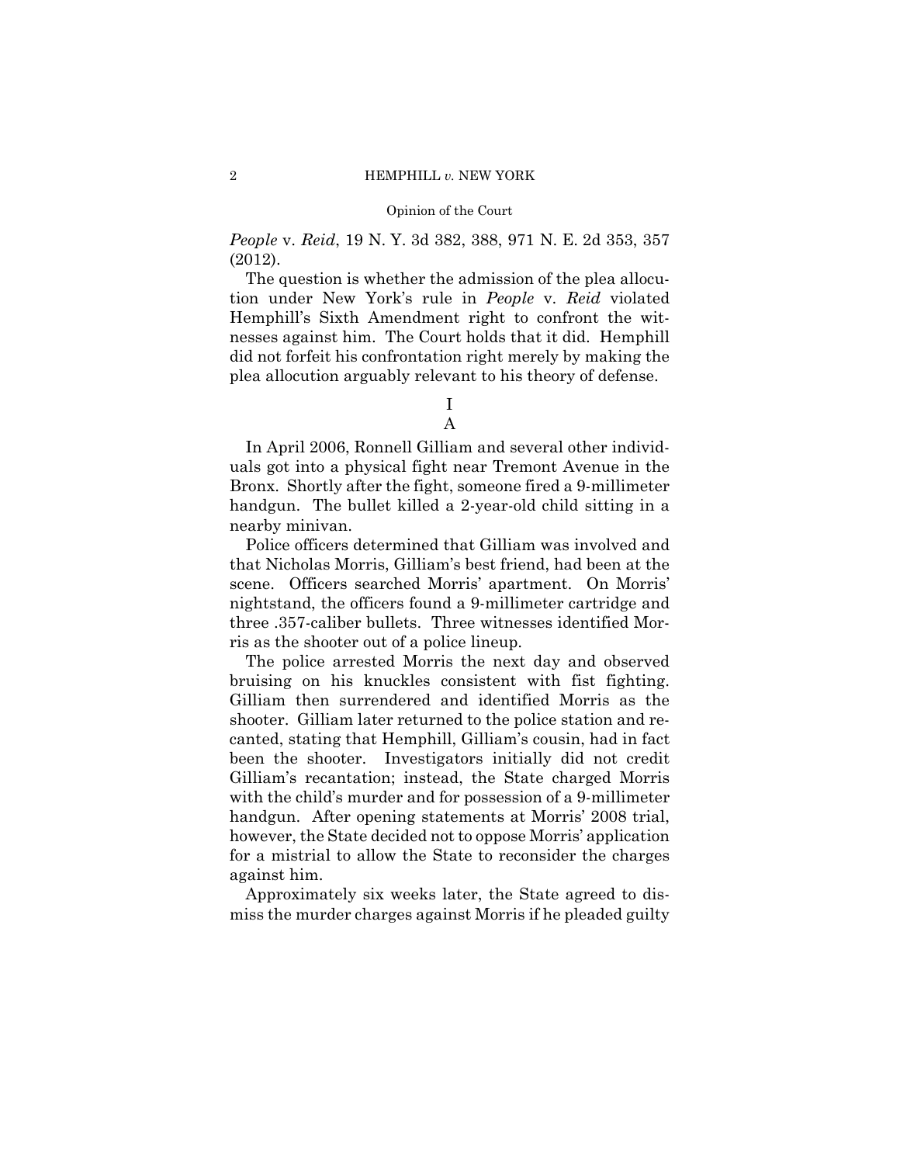*People* v. *Reid*, 19 N. Y. 3d 382, 388, 971 N. E. 2d 353, 357 (2012).

The question is whether the admission of the plea allocution under New York's rule in *People* v. *Reid* violated Hemphill's Sixth Amendment right to confront the witnesses against him. The Court holds that it did. Hemphill did not forfeit his confrontation right merely by making the plea allocution arguably relevant to his theory of defense.

> I A

In April 2006, Ronnell Gilliam and several other individuals got into a physical fight near Tremont Avenue in the Bronx. Shortly after the fight, someone fired a 9-millimeter handgun. The bullet killed a 2-year-old child sitting in a nearby minivan.

Police officers determined that Gilliam was involved and that Nicholas Morris, Gilliam's best friend, had been at the scene. Officers searched Morris' apartment. On Morris' nightstand, the officers found a 9-millimeter cartridge and three .357-caliber bullets. Three witnesses identified Morris as the shooter out of a police lineup.

The police arrested Morris the next day and observed bruising on his knuckles consistent with fist fighting. Gilliam then surrendered and identified Morris as the shooter. Gilliam later returned to the police station and recanted, stating that Hemphill, Gilliam's cousin, had in fact been the shooter. Investigators initially did not credit Gilliam's recantation; instead, the State charged Morris with the child's murder and for possession of a 9-millimeter handgun. After opening statements at Morris' 2008 trial, however, the State decided not to oppose Morris' application for a mistrial to allow the State to reconsider the charges against him.

Approximately six weeks later, the State agreed to dismiss the murder charges against Morris if he pleaded guilty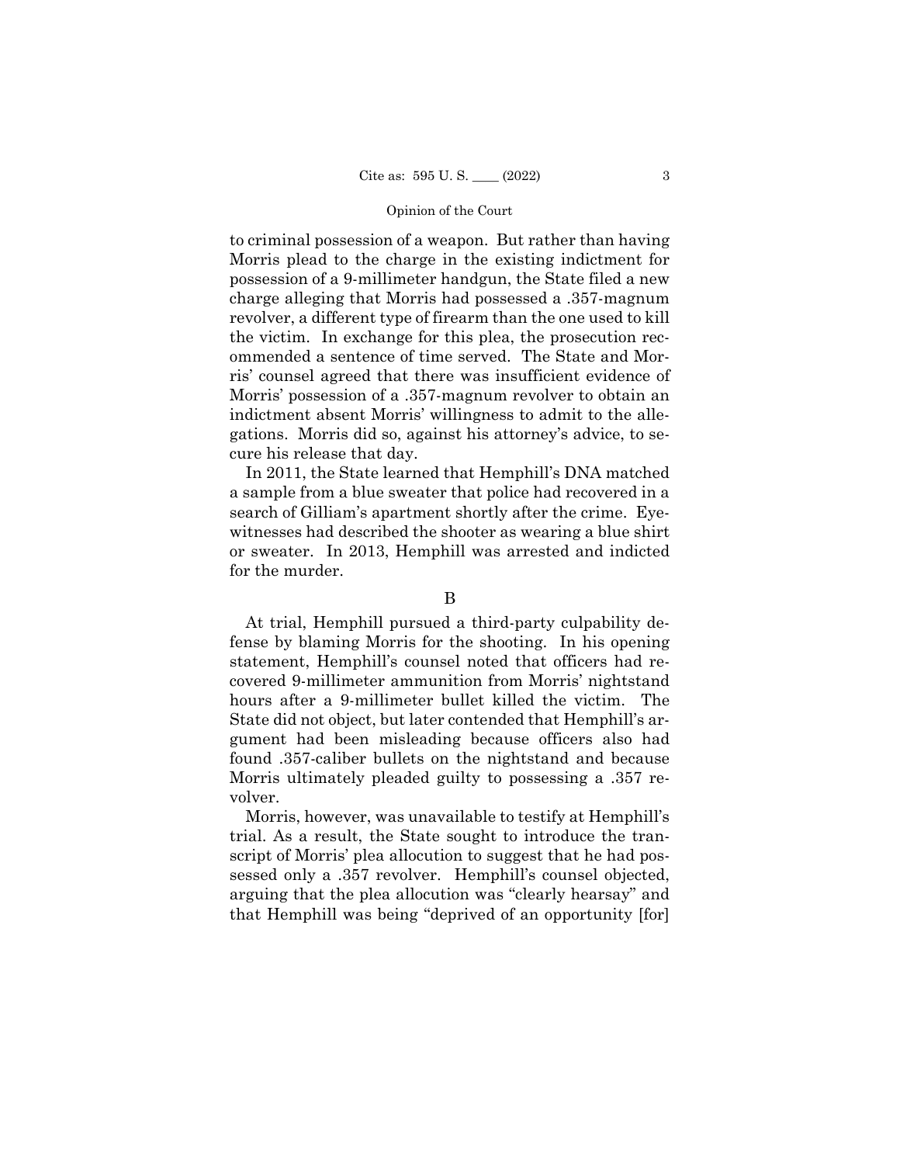to criminal possession of a weapon. But rather than having Morris plead to the charge in the existing indictment for possession of a 9-millimeter handgun, the State filed a new charge alleging that Morris had possessed a .357-magnum revolver, a different type of firearm than the one used to kill the victim. In exchange for this plea, the prosecution recommended a sentence of time served. The State and Morris' counsel agreed that there was insufficient evidence of Morris' possession of a .357-magnum revolver to obtain an indictment absent Morris' willingness to admit to the allegations. Morris did so, against his attorney's advice, to secure his release that day.

In 2011, the State learned that Hemphill's DNA matched a sample from a blue sweater that police had recovered in a search of Gilliam's apartment shortly after the crime. Eyewitnesses had described the shooter as wearing a blue shirt or sweater. In 2013, Hemphill was arrested and indicted for the murder.

## B

At trial, Hemphill pursued a third-party culpability defense by blaming Morris for the shooting. In his opening statement, Hemphill's counsel noted that officers had recovered 9-millimeter ammunition from Morris' nightstand hours after a 9-millimeter bullet killed the victim. The State did not object, but later contended that Hemphill's argument had been misleading because officers also had found .357-caliber bullets on the nightstand and because Morris ultimately pleaded guilty to possessing a .357 revolver.

Morris, however, was unavailable to testify at Hemphill's trial. As a result, the State sought to introduce the transcript of Morris' plea allocution to suggest that he had possessed only a .357 revolver. Hemphill's counsel objected, arguing that the plea allocution was "clearly hearsay" and that Hemphill was being "deprived of an opportunity [for]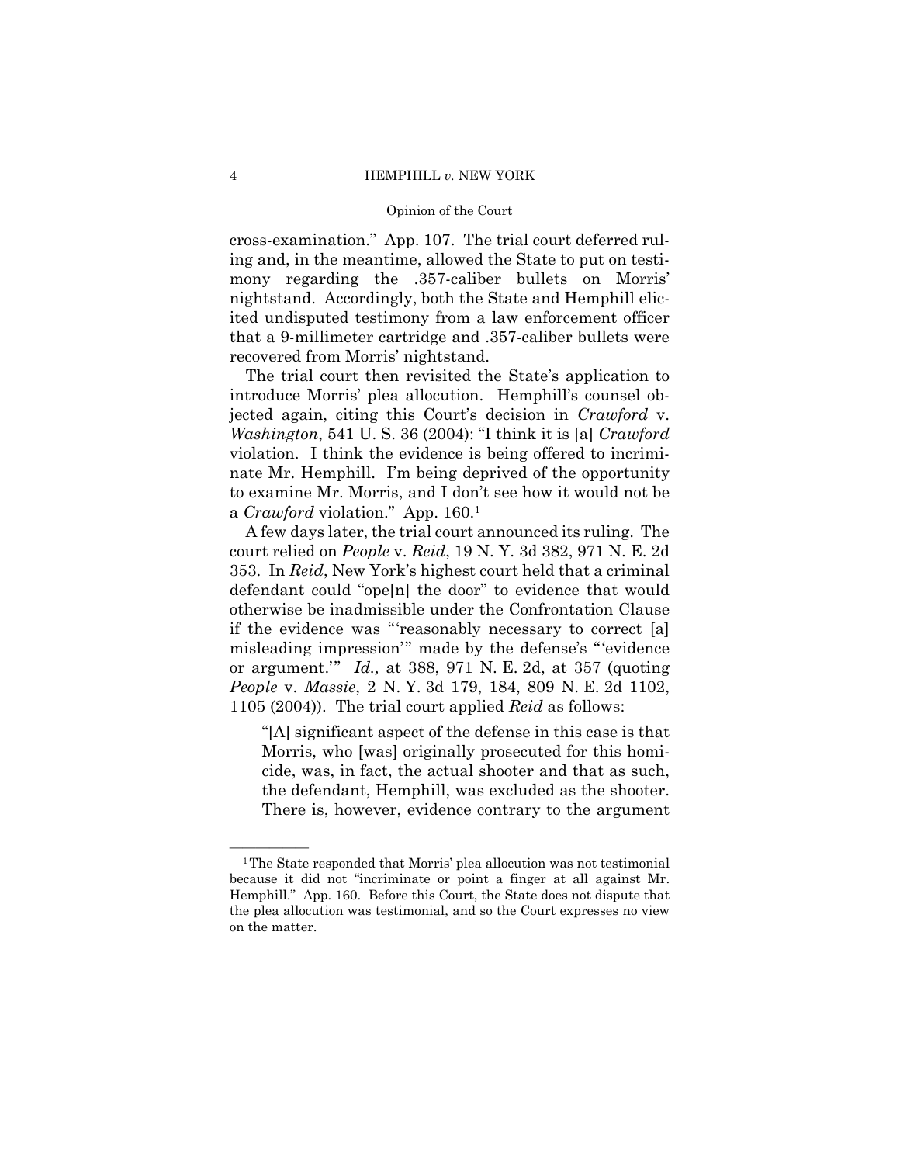cross-examination." App. 107. The trial court deferred ruling and, in the meantime, allowed the State to put on testimony regarding the .357-caliber bullets on Morris' nightstand. Accordingly, both the State and Hemphill elicited undisputed testimony from a law enforcement officer that a 9-millimeter cartridge and .357-caliber bullets were recovered from Morris' nightstand.

The trial court then revisited the State's application to introduce Morris' plea allocution. Hemphill's counsel objected again, citing this Court's decision in *Crawford* v. *Washington*, 541 U. S. 36 (2004): "I think it is [a] *Crawford*  violation. I think the evidence is being offered to incriminate Mr. Hemphill. I'm being deprived of the opportunity to examine Mr. Morris, and I don't see how it would not be a *Crawford* violation." App. 160.1

A few days later, the trial court announced its ruling. The court relied on *People* v. *Reid*, 19 N. Y. 3d 382, 971 N. E. 2d 353. In *Reid*, New York's highest court held that a criminal defendant could "ope[n] the door" to evidence that would otherwise be inadmissible under the Confrontation Clause if the evidence was "'reasonably necessary to correct [a] misleading impression'" made by the defense's "'evidence or argument.'" *Id.,* at 388, 971 N. E. 2d, at 357 (quoting *People* v. *Massie*, 2 N. Y. 3d 179, 184, 809 N. E. 2d 1102, 1105 (2004)). The trial court applied *Reid* as follows:

"[A] significant aspect of the defense in this case is that Morris, who [was] originally prosecuted for this homicide, was, in fact, the actual shooter and that as such, the defendant, Hemphill, was excluded as the shooter. There is, however, evidence contrary to the argument

 $1$ <sup>1</sup>The State responded that Morris' plea allocution was not testimonial because it did not "incriminate or point a finger at all against Mr. Hemphill." App. 160. Before this Court, the State does not dispute that the plea allocution was testimonial, and so the Court expresses no view on the matter.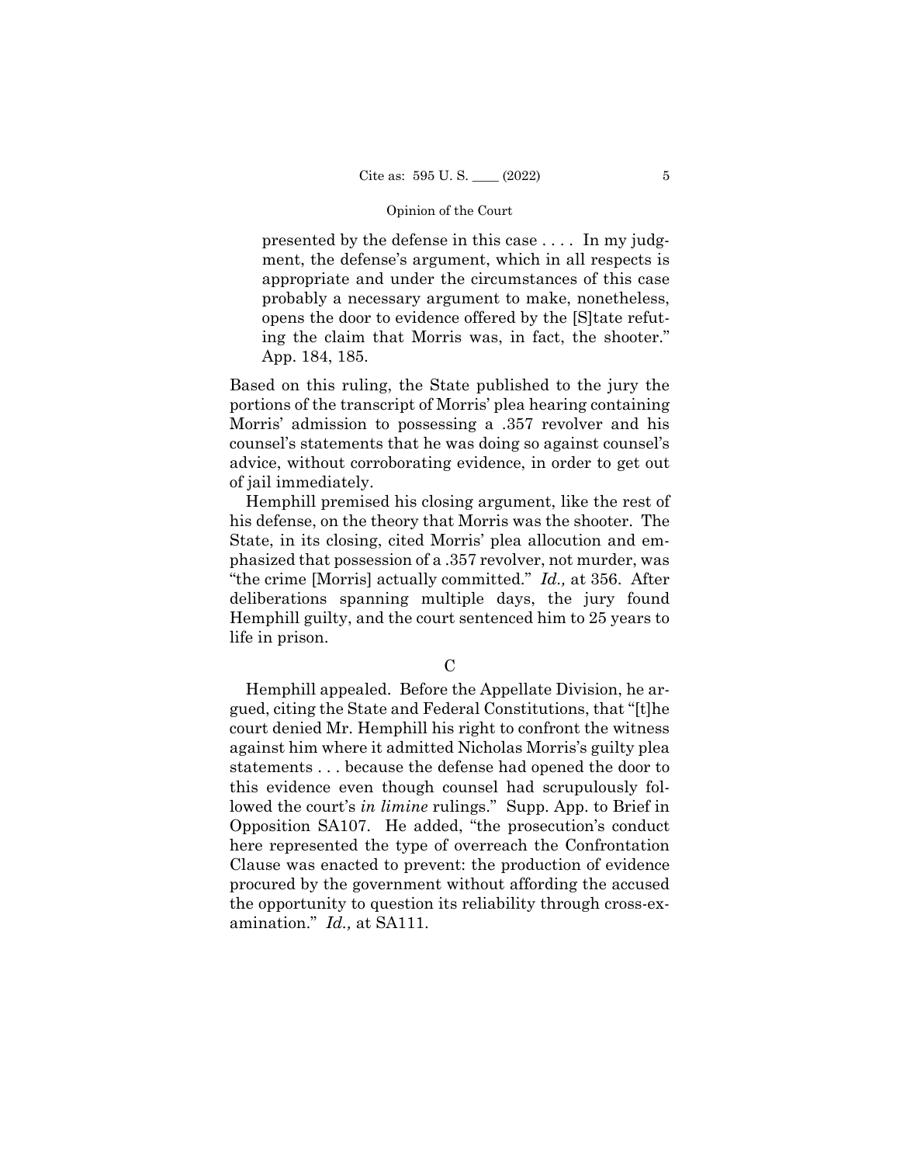presented by the defense in this case . . . . In my judgment, the defense's argument, which in all respects is appropriate and under the circumstances of this case probably a necessary argument to make, nonetheless, opens the door to evidence offered by the [S]tate refuting the claim that Morris was, in fact, the shooter." App. 184, 185.

Based on this ruling, the State published to the jury the portions of the transcript of Morris' plea hearing containing Morris' admission to possessing a .357 revolver and his counsel's statements that he was doing so against counsel's advice, without corroborating evidence, in order to get out of jail immediately.

Hemphill premised his closing argument, like the rest of his defense, on the theory that Morris was the shooter. The State, in its closing, cited Morris' plea allocution and emphasized that possession of a .357 revolver, not murder, was "the crime [Morris] actually committed." *Id.,* at 356. After deliberations spanning multiple days, the jury found Hemphill guilty, and the court sentenced him to 25 years to life in prison.

## $\mathcal{C}$

Hemphill appealed. Before the Appellate Division, he argued, citing the State and Federal Constitutions, that "[t]he court denied Mr. Hemphill his right to confront the witness against him where it admitted Nicholas Morris's guilty plea statements . . . because the defense had opened the door to this evidence even though counsel had scrupulously followed the court's *in limine* rulings." Supp. App. to Brief in Opposition SA107. He added, "the prosecution's conduct here represented the type of overreach the Confrontation Clause was enacted to prevent: the production of evidence procured by the government without affording the accused the opportunity to question its reliability through cross-examination." *Id.,* at SA111.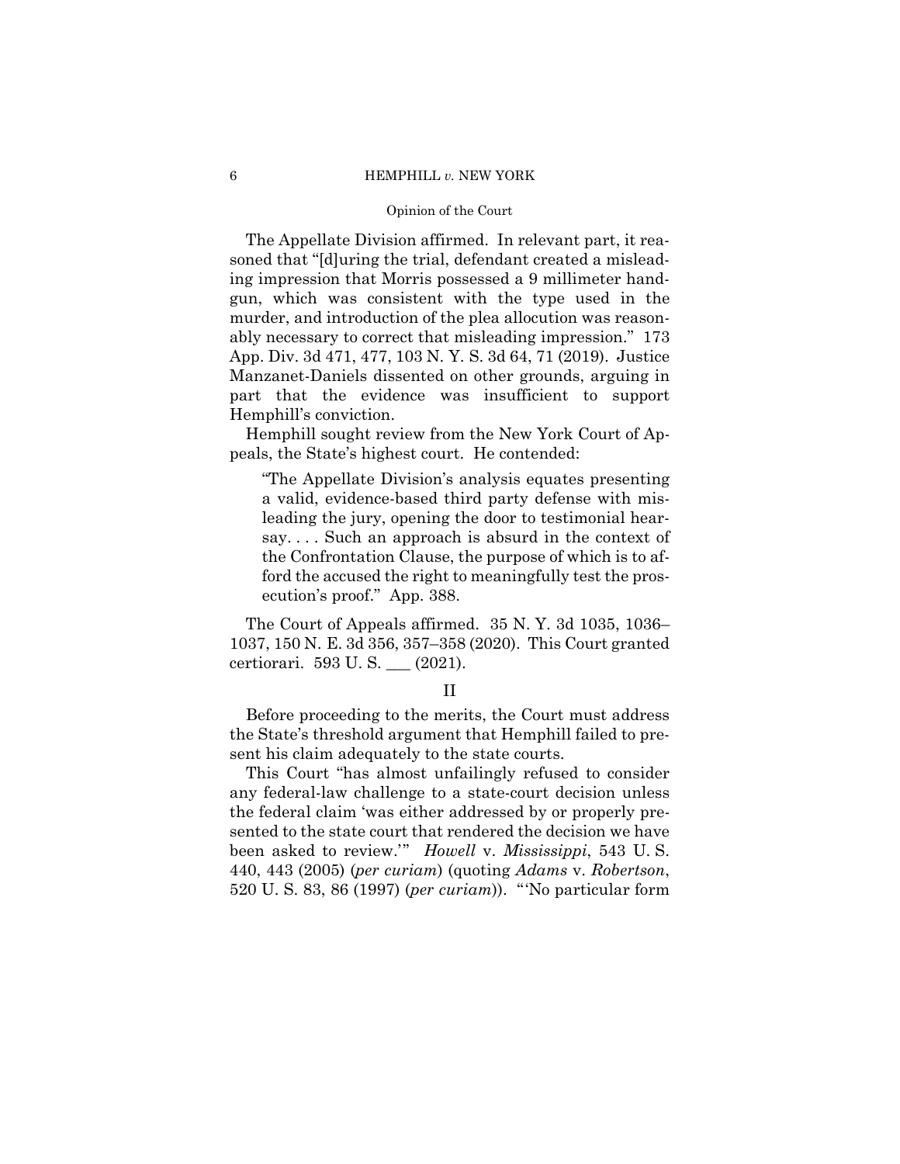#### 6 HEMPHILL *v.* NEW YORK

#### Opinion of the Court

The Appellate Division affirmed. In relevant part, it reasoned that "[d]uring the trial, defendant created a misleading impression that Morris possessed a 9 millimeter handgun, which was consistent with the type used in the murder, and introduction of the plea allocution was reasonably necessary to correct that misleading impression." 173 App. Div. 3d 471, 477, 103 N. Y. S. 3d 64, 71 (2019). Justice Manzanet-Daniels dissented on other grounds, arguing in part that the evidence was insufficient to support Hemphill's conviction.

Hemphill sought review from the New York Court of Appeals, the State's highest court. He contended:

"The Appellate Division's analysis equates presenting a valid, evidence-based third party defense with misleading the jury, opening the door to testimonial hearsay. . . . Such an approach is absurd in the context of the Confrontation Clause, the purpose of which is to afford the accused the right to meaningfully test the prosecution's proof." App. 388.

 1037, 150 N. E. 3d 356, 357–358 (2020). This Court granted The Court of Appeals affirmed. 35 N. Y. 3d 1035, 1036– certiorari. 593 U. S. \_\_\_ (2021).

#### II

Before proceeding to the merits, the Court must address the State's threshold argument that Hemphill failed to present his claim adequately to the state courts.

This Court "has almost unfailingly refused to consider any federal-law challenge to a state-court decision unless the federal claim 'was either addressed by or properly presented to the state court that rendered the decision we have been asked to review.'" *Howell* v. *Mississippi*, 543 U. S. 440, 443 (2005) (*per curiam*) (quoting *Adams* v. *Robertson*, 520 U. S. 83, 86 (1997) (*per curiam*)). "'No particular form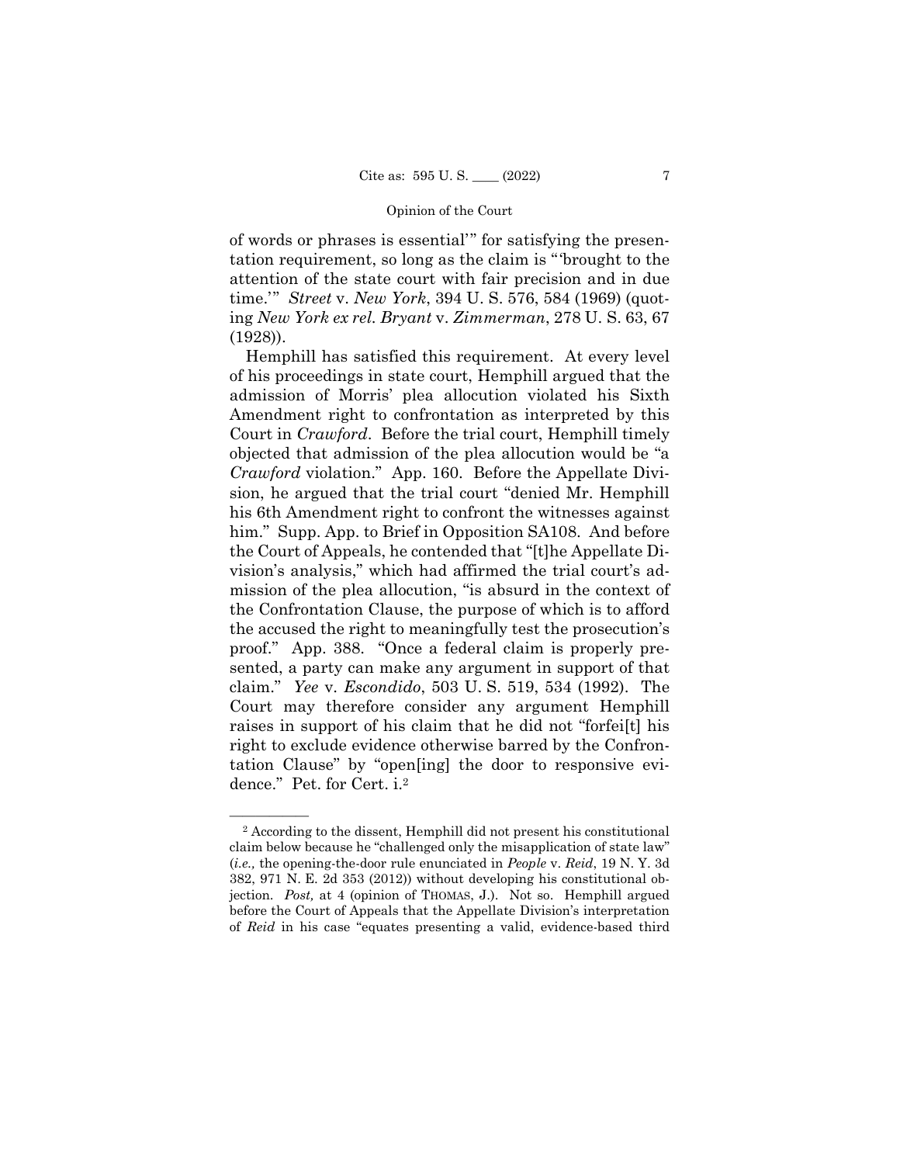of words or phrases is essential'" for satisfying the presentation requirement, so long as the claim is "'brought to the attention of the state court with fair precision and in due time.'" *Street* v. *New York*, 394 U. S. 576, 584 (1969) (quoting *New York ex rel. Bryant* v. *Zimmerman*, 278 U. S. 63, 67 (1928)).

Hemphill has satisfied this requirement. At every level of his proceedings in state court, Hemphill argued that the admission of Morris' plea allocution violated his Sixth Amendment right to confrontation as interpreted by this Court in *Crawford*. Before the trial court, Hemphill timely objected that admission of the plea allocution would be "a *Crawford* violation." App. 160. Before the Appellate Division, he argued that the trial court "denied Mr. Hemphill his 6th Amendment right to confront the witnesses against him." Supp. App. to Brief in Opposition SA108. And before the Court of Appeals, he contended that "[t]he Appellate Division's analysis," which had affirmed the trial court's admission of the plea allocution, "is absurd in the context of the Confrontation Clause, the purpose of which is to afford the accused the right to meaningfully test the prosecution's proof." App. 388. "Once a federal claim is properly presented, a party can make any argument in support of that claim." *Yee* v. *Escondido*, 503 U. S. 519, 534 (1992). The Court may therefore consider any argument Hemphill raises in support of his claim that he did not "forfei[t] his right to exclude evidence otherwise barred by the Confrontation Clause" by "open[ing] the door to responsive evidence." Pet. for Cert. i.2

 jection. *Post,* at 4 (opinion of THOMAS, J.). Not so. Hemphill argued <sup>2</sup> According to the dissent, Hemphill did not present his constitutional claim below because he "challenged only the misapplication of state law" (*i.e.,* the opening-the-door rule enunciated in *People* v. *Reid*, 19 N. Y. 3d 382, 971 N. E. 2d 353 (2012)) without developing his constitutional obbefore the Court of Appeals that the Appellate Division's interpretation of *Reid* in his case "equates presenting a valid, evidence-based third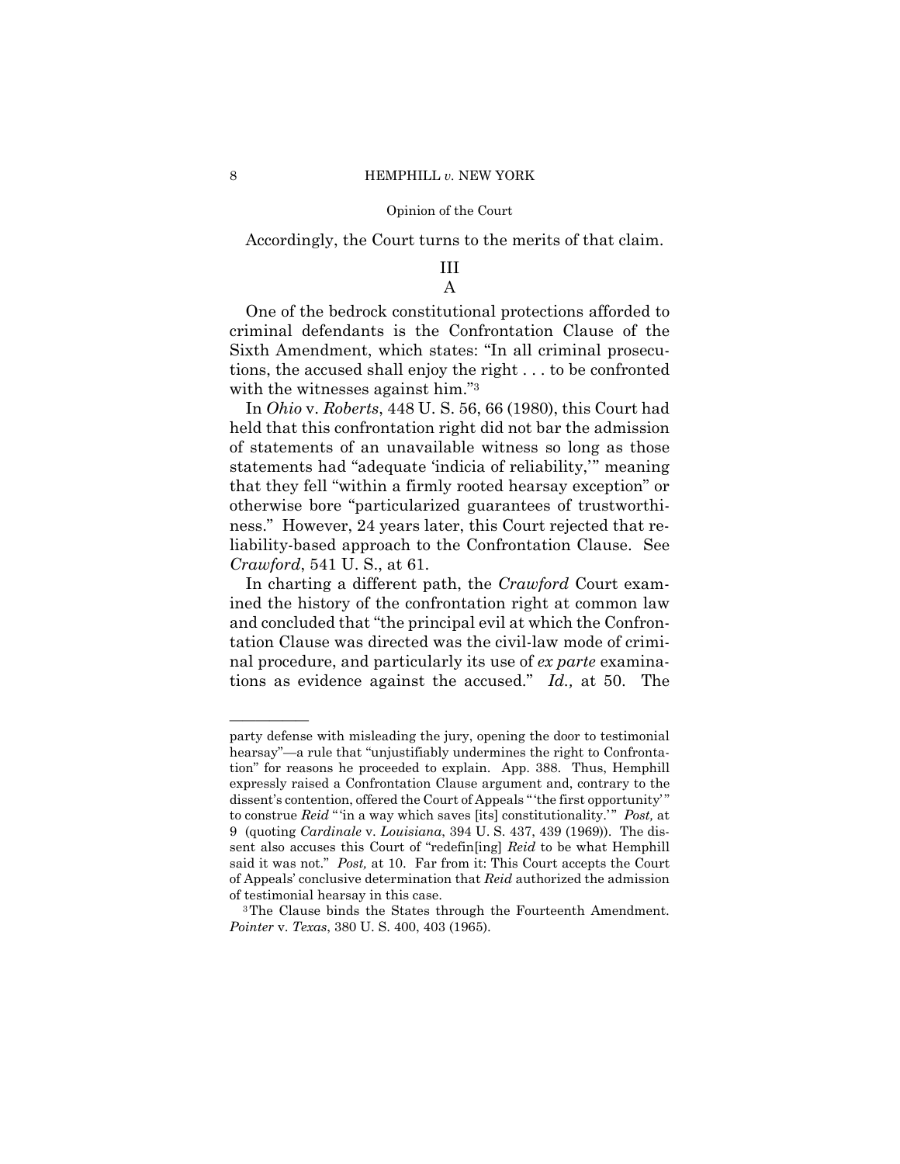Accordingly, the Court turns to the merits of that claim.

## III A

with the witnesses against him."<sup>3</sup> One of the bedrock constitutional protections afforded to criminal defendants is the Confrontation Clause of the Sixth Amendment, which states: "In all criminal prosecutions, the accused shall enjoy the right . . . to be confronted

 In *Ohio* v. *Roberts*, 448 U. S. 56, 66 (1980), this Court had held that this confrontation right did not bar the admission of statements of an unavailable witness so long as those statements had "adequate 'indicia of reliability,'" meaning that they fell "within a firmly rooted hearsay exception" or otherwise bore "particularized guarantees of trustworthiness." However, 24 years later, this Court rejected that reliability-based approach to the Confrontation Clause. See *Crawford*, 541 U. S., at 61.

In charting a different path, the *Crawford* Court examined the history of the confrontation right at common law and concluded that "the principal evil at which the Confrontation Clause was directed was the civil-law mode of criminal procedure, and particularly its use of *ex parte* examinations as evidence against the accused." *Id.,* at 50. The

——————

party defense with misleading the jury, opening the door to testimonial hearsay"—a rule that "unjustifiably undermines the right to Confrontation" for reasons he proceeded to explain. App. 388. Thus, Hemphill expressly raised a Confrontation Clause argument and, contrary to the dissent's contention, offered the Court of Appeals " 'the first opportunity' " to construe *Reid* " 'in a way which saves [its] constitutionality.' " *Post,* at 9 (quoting *Cardinale* v. *Louisiana*, 394 U. S. 437, 439 (1969)). The dissent also accuses this Court of "redefin[ing] *Reid* to be what Hemphill said it was not." *Post,* at 10. Far from it: This Court accepts the Court of Appeals' conclusive determination that *Reid* authorized the admission

of testimonial hearsay in this case.<br><sup>3</sup>The Clause binds the States through the Fourteenth Amendment. *Pointer* v. *Texas*, 380 U. S. 400, 403 (1965).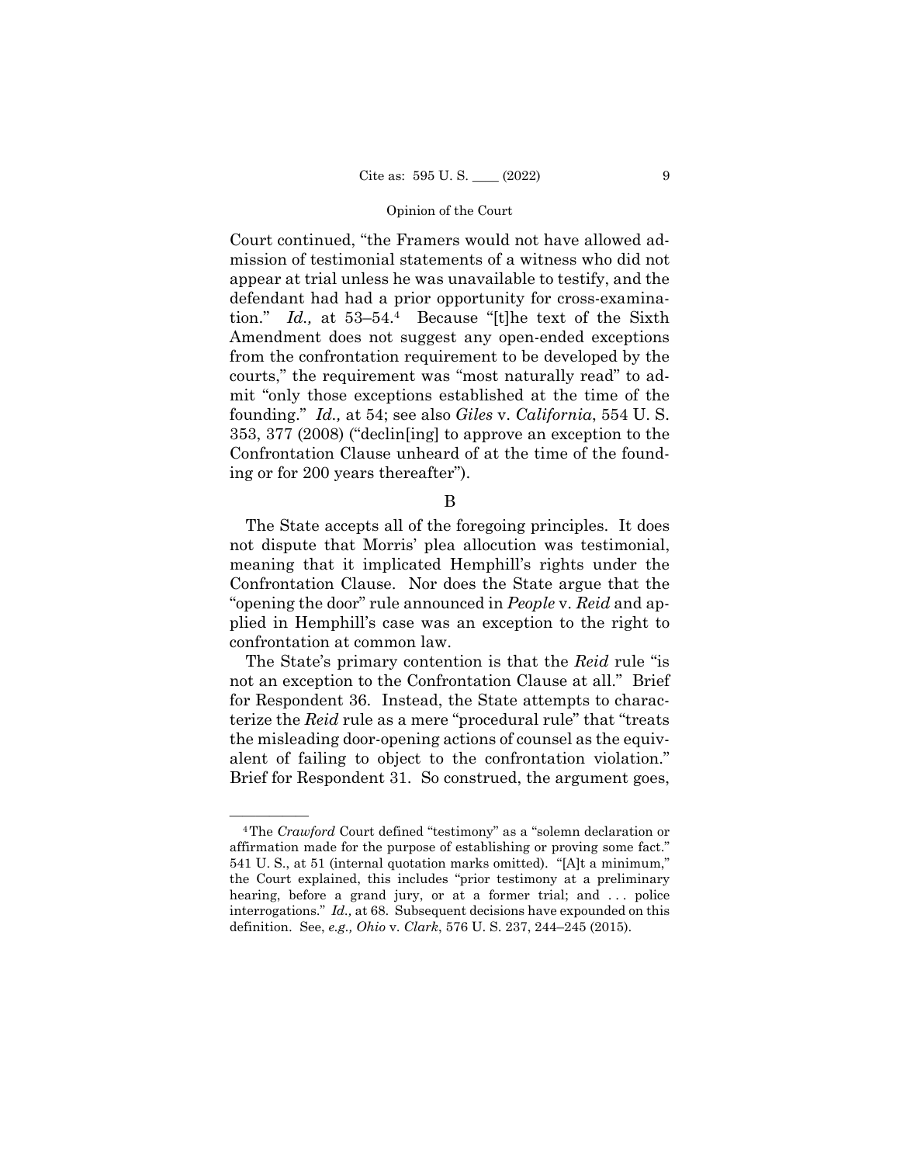Court continued, "the Framers would not have allowed admission of testimonial statements of a witness who did not appear at trial unless he was unavailable to testify, and the defendant had had a prior opportunity for cross-examination." *Id.,* at 53–54.4 Because "[t]he text of the Sixth Amendment does not suggest any open-ended exceptions from the confrontation requirement to be developed by the courts," the requirement was "most naturally read" to admit "only those exceptions established at the time of the founding." *Id.,* at 54; see also *Giles* v. *California*, 554 U. S. 353, 377 (2008) ("declin[ing] to approve an exception to the Confrontation Clause unheard of at the time of the founding or for 200 years thereafter").

B

The State accepts all of the foregoing principles. It does not dispute that Morris' plea allocution was testimonial, meaning that it implicated Hemphill's rights under the Confrontation Clause. Nor does the State argue that the "opening the door" rule announced in *People* v. *Reid* and applied in Hemphill's case was an exception to the right to confrontation at common law.

The State's primary contention is that the *Reid* rule "is not an exception to the Confrontation Clause at all." Brief for Respondent 36. Instead, the State attempts to characterize the *Reid* rule as a mere "procedural rule" that "treats the misleading door-opening actions of counsel as the equivalent of failing to object to the confrontation violation." Brief for Respondent 31. So construed, the argument goes,

<sup>&</sup>lt;sup>4</sup>The *Crawford* Court defined "testimony" as a "solemn declaration or affirmation made for the purpose of establishing or proving some fact." 541 U. S., at 51 (internal quotation marks omitted). "[A]t a minimum," the Court explained, this includes "prior testimony at a preliminary hearing, before a grand jury, or at a former trial; and ... police interrogations." *Id.,* at 68. Subsequent decisions have expounded on this definition. See, *e.g., Ohio* v. *Clark*, 576 U. S. 237, 244–245 (2015).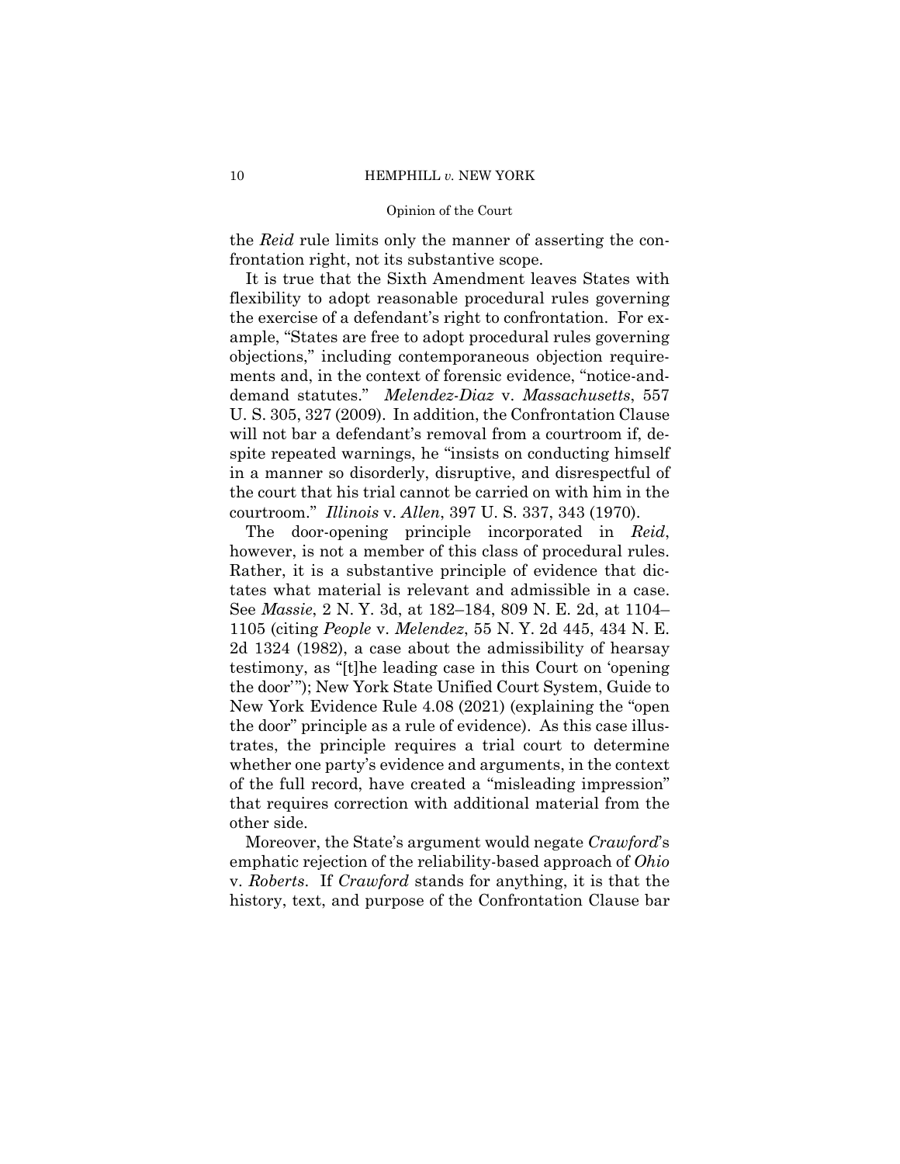#### 10 **HEMPHILL** *v*. NEW YORK

#### Opinion of the Court

the *Reid* rule limits only the manner of asserting the confrontation right, not its substantive scope.

 courtroom." *Illinois* v. *Allen*, 397 U. S. 337, 343 (1970). It is true that the Sixth Amendment leaves States with flexibility to adopt reasonable procedural rules governing the exercise of a defendant's right to confrontation. For example, "States are free to adopt procedural rules governing objections," including contemporaneous objection requirements and, in the context of forensic evidence, "notice-anddemand statutes." *Melendez-Diaz* v. *Massachusetts*, 557 U. S. 305, 327 (2009). In addition, the Confrontation Clause will not bar a defendant's removal from a courtroom if, despite repeated warnings, he "insists on conducting himself in a manner so disorderly, disruptive, and disrespectful of the court that his trial cannot be carried on with him in the

The door-opening principle incorporated in *Reid*, however, is not a member of this class of procedural rules. Rather, it is a substantive principle of evidence that dictates what material is relevant and admissible in a case. See *Massie*, 2 N. Y. 3d, at 182–184, 809 N. E. 2d, at 1104– 1105 (citing *People* v. *Melendez*, 55 N. Y. 2d 445, 434 N. E. 2d 1324 (1982), a case about the admissibility of hearsay testimony, as "[t]he leading case in this Court on 'opening the door'"); New York State Unified Court System, Guide to New York Evidence Rule 4.08 (2021) (explaining the "open the door" principle as a rule of evidence). As this case illustrates, the principle requires a trial court to determine whether one party's evidence and arguments, in the context of the full record, have created a "misleading impression" that requires correction with additional material from the other side.

Moreover, the State's argument would negate *Crawford*'s emphatic rejection of the reliability-based approach of *Ohio*  v. *Roberts*. If *Crawford* stands for anything, it is that the history, text, and purpose of the Confrontation Clause bar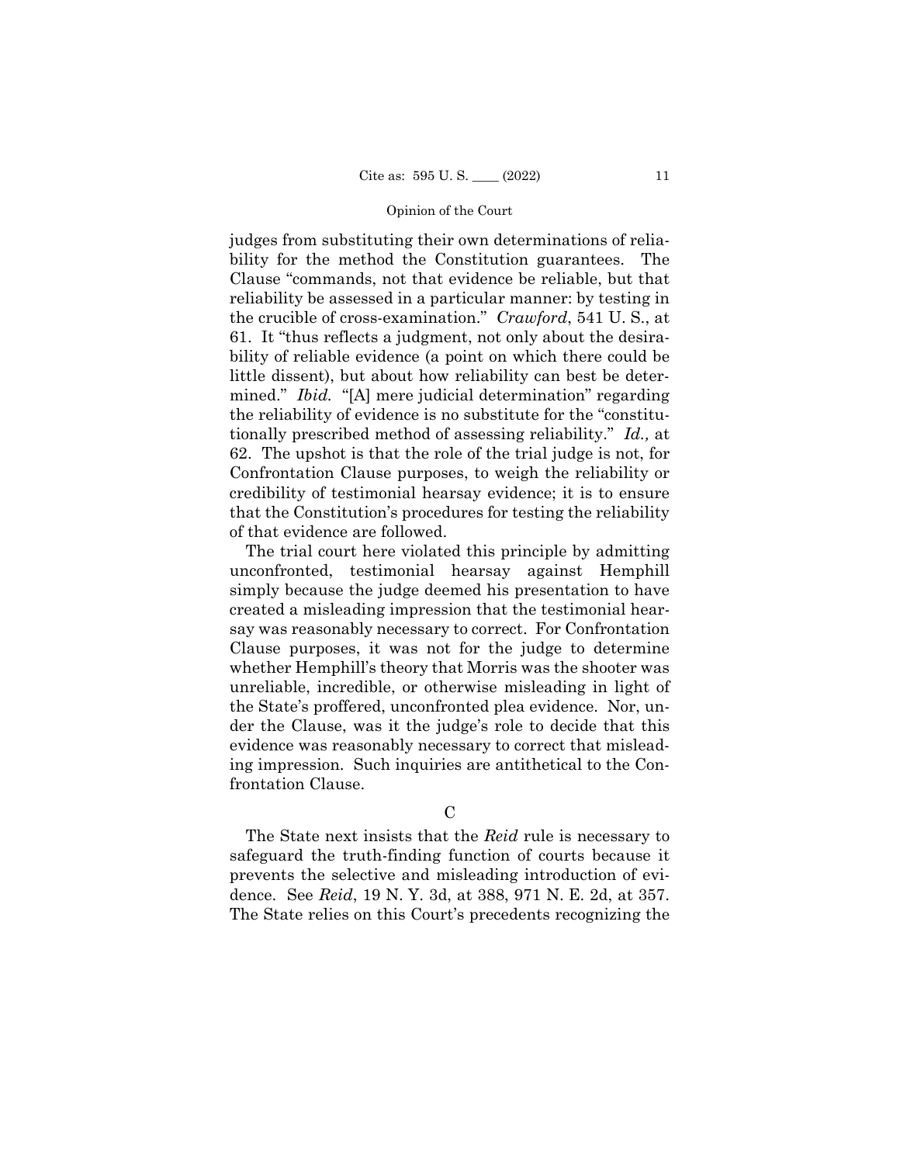judges from substituting their own determinations of reliability for the method the Constitution guarantees. The Clause "commands, not that evidence be reliable, but that reliability be assessed in a particular manner: by testing in the crucible of cross-examination." *Crawford*, 541 U. S., at 61. It "thus reflects a judgment, not only about the desirability of reliable evidence (a point on which there could be little dissent), but about how reliability can best be determined." *Ibid.* "[A] mere judicial determination" regarding the reliability of evidence is no substitute for the "constitutionally prescribed method of assessing reliability." *Id.,* at 62. The upshot is that the role of the trial judge is not, for Confrontation Clause purposes, to weigh the reliability or credibility of testimonial hearsay evidence; it is to ensure that the Constitution's procedures for testing the reliability of that evidence are followed.

The trial court here violated this principle by admitting unconfronted, testimonial hearsay against Hemphill simply because the judge deemed his presentation to have created a misleading impression that the testimonial hearsay was reasonably necessary to correct. For Confrontation Clause purposes, it was not for the judge to determine whether Hemphill's theory that Morris was the shooter was unreliable, incredible, or otherwise misleading in light of the State's proffered, unconfronted plea evidence. Nor, under the Clause, was it the judge's role to decide that this evidence was reasonably necessary to correct that misleading impression. Such inquiries are antithetical to the Confrontation Clause.

 $\mathcal{C}$ 

The State next insists that the *Reid* rule is necessary to safeguard the truth-finding function of courts because it prevents the selective and misleading introduction of evidence. See *Reid*, 19 N. Y. 3d, at 388, 971 N. E. 2d, at 357. The State relies on this Court's precedents recognizing the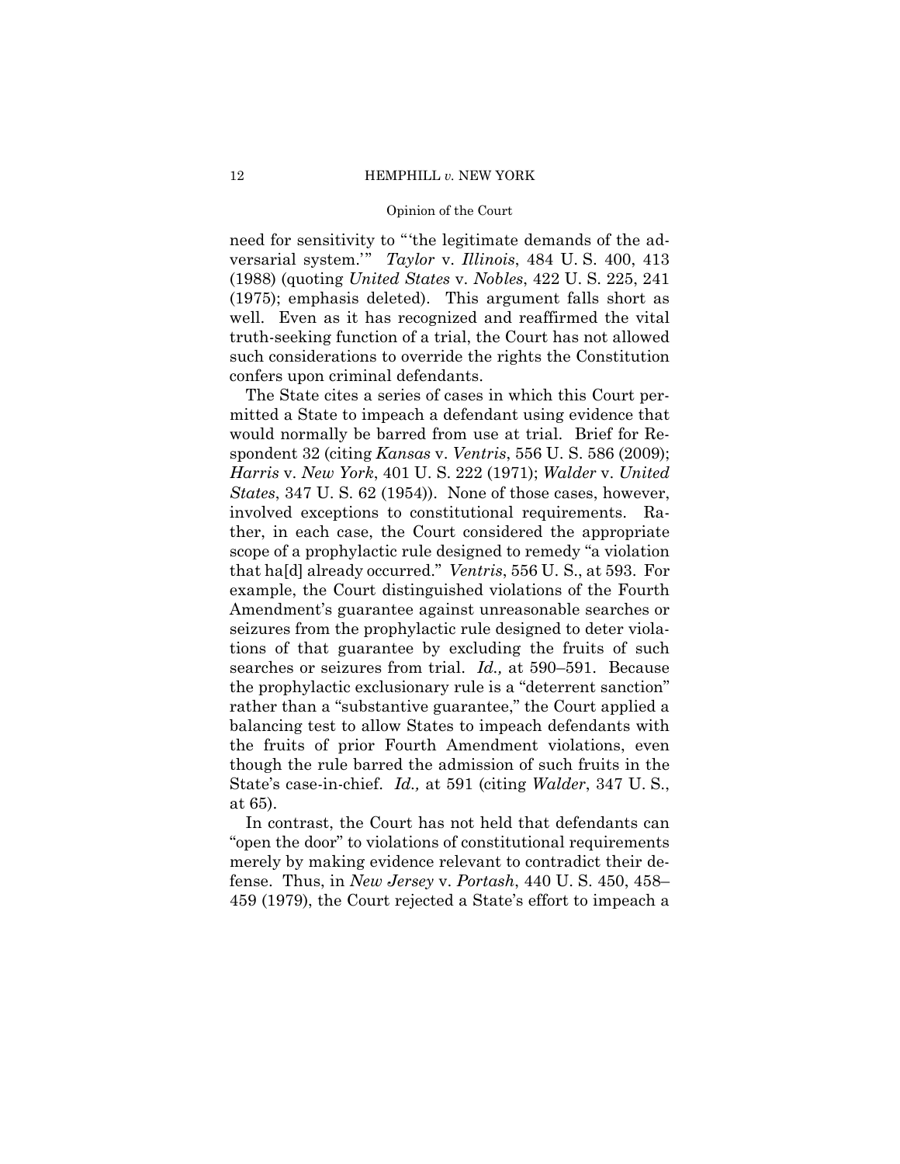need for sensitivity to "'the legitimate demands of the adversarial system.'" *Taylor* v. *Illinois*, 484 U. S. 400, 413 (1988) (quoting *United States* v. *Nobles*, 422 U. S. 225, 241 (1975); emphasis deleted). This argument falls short as well. Even as it has recognized and reaffirmed the vital truth-seeking function of a trial, the Court has not allowed such considerations to override the rights the Constitution confers upon criminal defendants.

The State cites a series of cases in which this Court permitted a State to impeach a defendant using evidence that would normally be barred from use at trial. Brief for Respondent 32 (citing *Kansas* v. *Ventris*, 556 U. S. 586 (2009); *Harris* v. *New York*, 401 U. S. 222 (1971); *Walder* v. *United States*, 347 U. S. 62 (1954)). None of those cases, however, involved exceptions to constitutional requirements. Rather, in each case, the Court considered the appropriate scope of a prophylactic rule designed to remedy "a violation that ha[d] already occurred." *Ventris*, 556 U. S., at 593. For example, the Court distinguished violations of the Fourth Amendment's guarantee against unreasonable searches or seizures from the prophylactic rule designed to deter violations of that guarantee by excluding the fruits of such searches or seizures from trial. *Id.,* at 590–591. Because the prophylactic exclusionary rule is a "deterrent sanction" rather than a "substantive guarantee," the Court applied a balancing test to allow States to impeach defendants with the fruits of prior Fourth Amendment violations, even though the rule barred the admission of such fruits in the State's case-in-chief. *Id.,* at 591 (citing *Walder*, 347 U. S., at 65).

In contrast, the Court has not held that defendants can "open the door" to violations of constitutional requirements merely by making evidence relevant to contradict their defense. Thus, in *New Jersey* v. *Portash*, 440 U. S. 450, 458– 459 (1979), the Court rejected a State's effort to impeach a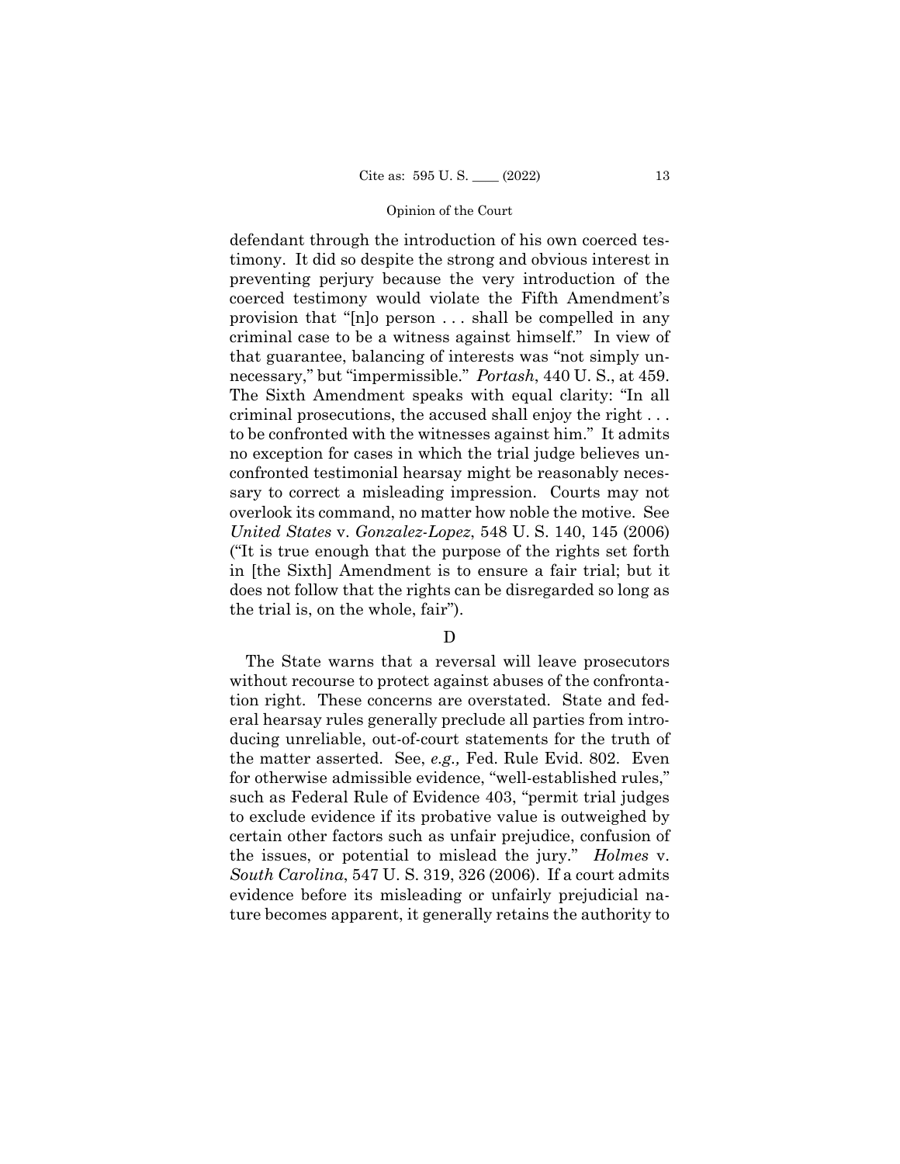defendant through the introduction of his own coerced testimony. It did so despite the strong and obvious interest in preventing perjury because the very introduction of the coerced testimony would violate the Fifth Amendment's provision that "[n]o person . . . shall be compelled in any criminal case to be a witness against himself." In view of that guarantee, balancing of interests was "not simply unnecessary," but "impermissible." *Portash*, 440 U. S., at 459. The Sixth Amendment speaks with equal clarity: "In all criminal prosecutions, the accused shall enjoy the right . . . to be confronted with the witnesses against him." It admits no exception for cases in which the trial judge believes unconfronted testimonial hearsay might be reasonably necessary to correct a misleading impression. Courts may not overlook its command, no matter how noble the motive. See *United States* v. *Gonzalez-Lopez*, 548 U. S. 140, 145 (2006) ("It is true enough that the purpose of the rights set forth in [the Sixth] Amendment is to ensure a fair trial; but it does not follow that the rights can be disregarded so long as the trial is, on the whole, fair").

## D

The State warns that a reversal will leave prosecutors without recourse to protect against abuses of the confrontation right. These concerns are overstated. State and federal hearsay rules generally preclude all parties from introducing unreliable, out-of-court statements for the truth of the matter asserted. See, *e.g.,* Fed. Rule Evid. 802. Even for otherwise admissible evidence, "well-established rules," such as Federal Rule of Evidence 403, "permit trial judges to exclude evidence if its probative value is outweighed by certain other factors such as unfair prejudice, confusion of the issues, or potential to mislead the jury." *Holmes* v. *South Carolina*, 547 U. S. 319, 326 (2006). If a court admits evidence before its misleading or unfairly prejudicial nature becomes apparent, it generally retains the authority to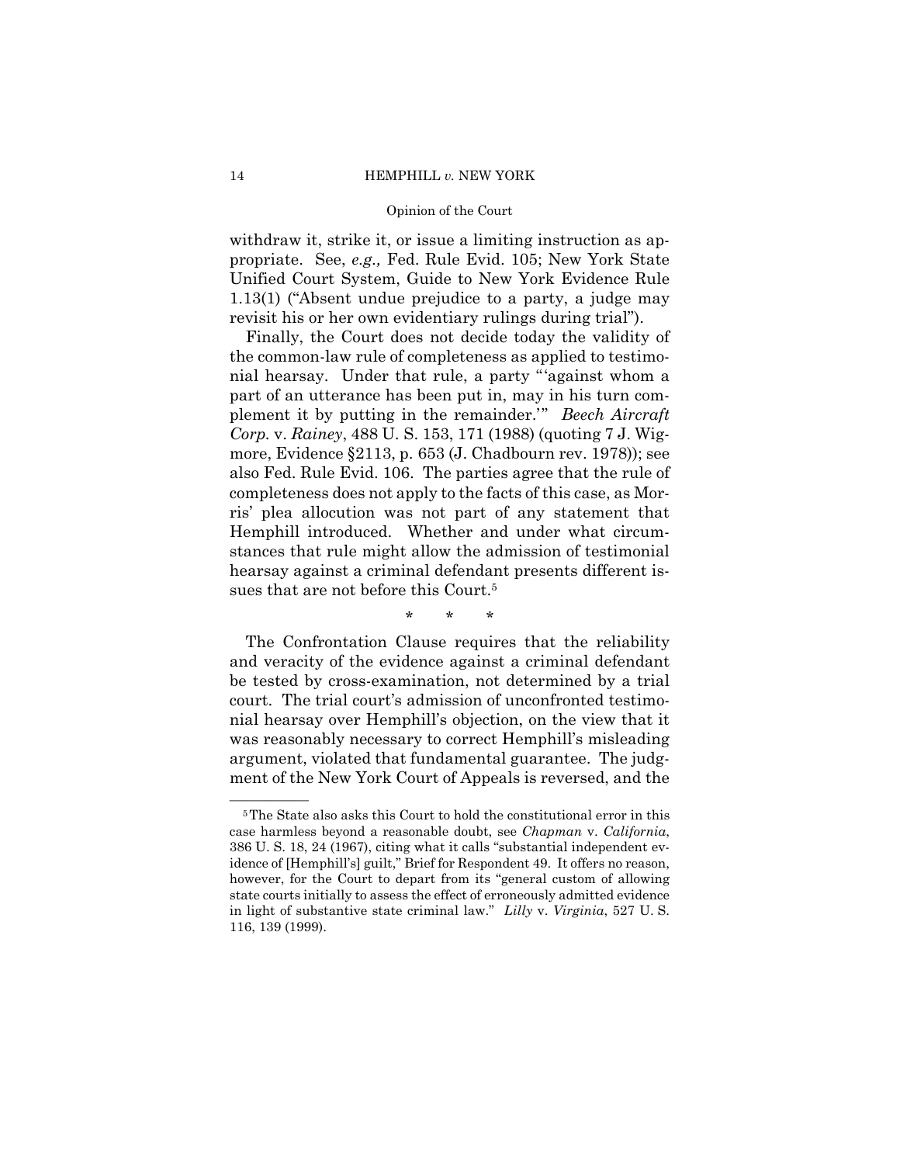withdraw it, strike it, or issue a limiting instruction as appropriate. See, *e.g.,* Fed. Rule Evid. 105; New York State Unified Court System, Guide to New York Evidence Rule 1.13(1) ("Absent undue prejudice to a party, a judge may revisit his or her own evidentiary rulings during trial").

Finally, the Court does not decide today the validity of the common-law rule of completeness as applied to testimonial hearsay. Under that rule, a party "'against whom a part of an utterance has been put in, may in his turn complement it by putting in the remainder.'" *Beech Aircraft Corp.* v. *Rainey*, 488 U. S. 153, 171 (1988) (quoting 7 J. Wigmore, Evidence §2113, p. 653 (J. Chadbourn rev. 1978)); see also Fed. Rule Evid. 106. The parties agree that the rule of completeness does not apply to the facts of this case, as Morris' plea allocution was not part of any statement that Hemphill introduced. Whether and under what circumstances that rule might allow the admission of testimonial hearsay against a criminal defendant presents different issues that are not before this Court.<sup>5</sup>

\* \* \*

The Confrontation Clause requires that the reliability and veracity of the evidence against a criminal defendant be tested by cross-examination, not determined by a trial court. The trial court's admission of unconfronted testimonial hearsay over Hemphill's objection, on the view that it was reasonably necessary to correct Hemphill's misleading argument, violated that fundamental guarantee. The judgment of the New York Court of Appeals is reversed, and the

<sup>&</sup>lt;sup>5</sup>The State also asks this Court to hold the constitutional error in this case harmless beyond a reasonable doubt, see *Chapman* v. *California*, 386 U. S. 18, 24 (1967), citing what it calls "substantial independent evidence of [Hemphill's] guilt," Brief for Respondent 49. It offers no reason, however, for the Court to depart from its "general custom of allowing state courts initially to assess the effect of erroneously admitted evidence in light of substantive state criminal law." *Lilly* v. *Virginia*, 527 U. S. 116, 139 (1999).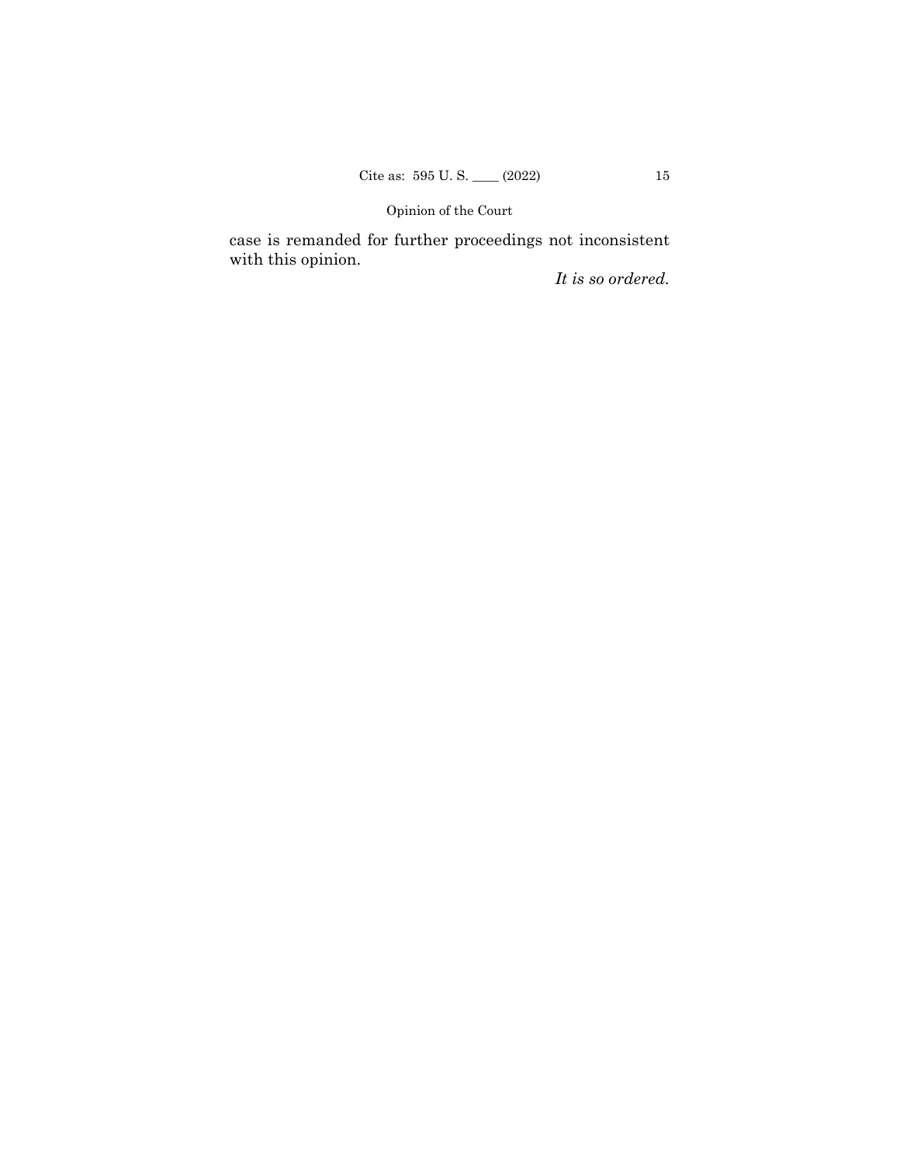case is remanded for further proceedings not inconsistent with this opinion.

*It is so ordered.*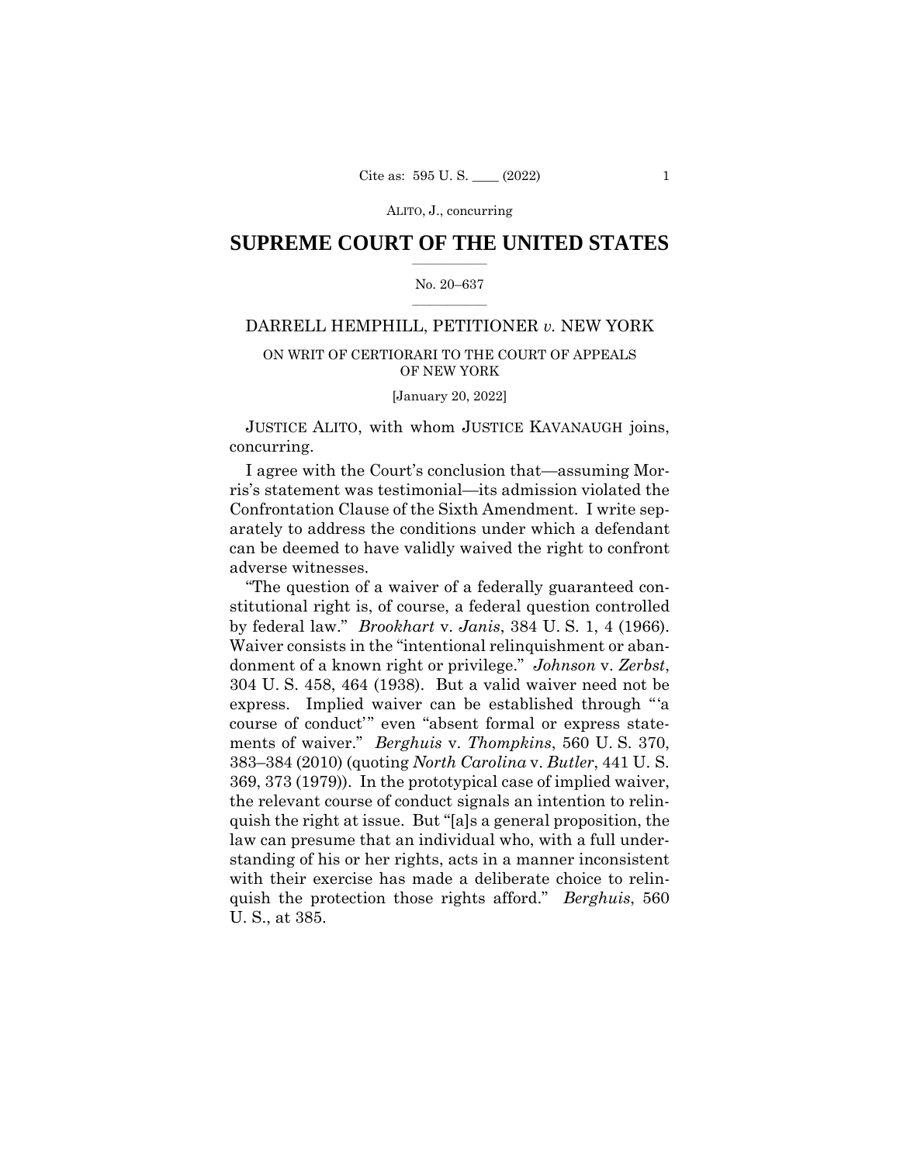## $\frac{1}{2}$  ,  $\frac{1}{2}$  ,  $\frac{1}{2}$  ,  $\frac{1}{2}$  ,  $\frac{1}{2}$  ,  $\frac{1}{2}$  ,  $\frac{1}{2}$ **SUPREME COURT OF THE UNITED STATES**

#### $\frac{1}{2}$  ,  $\frac{1}{2}$  ,  $\frac{1}{2}$  ,  $\frac{1}{2}$  ,  $\frac{1}{2}$  ,  $\frac{1}{2}$ No. 20–637

## DARRELL HEMPHILL, PETITIONER *v.* NEW YORK

## ON WRIT OF CERTIORARI TO THE COURT OF APPEALS OF NEW YORK

[January 20, 2022]

 JUSTICE ALITO, with whom JUSTICE KAVANAUGH joins, concurring.

I agree with the Court's conclusion that—assuming Morris's statement was testimonial—its admission violated the Confrontation Clause of the Sixth Amendment. I write separately to address the conditions under which a defendant can be deemed to have validly waived the right to confront adverse witnesses.

"The question of a waiver of a federally guaranteed constitutional right is, of course, a federal question controlled by federal law." *Brookhart* v. *Janis*, 384 U. S. 1, 4 (1966). Waiver consists in the "intentional relinquishment or abandonment of a known right or privilege." *Johnson* v. *Zerbst*, 304 U. S. 458, 464 (1938). But a valid waiver need not be express. Implied waiver can be established through "'a course of conduct'" even "absent formal or express statements of waiver." *Berghuis* v. *Thompkins*, 560 U. S. 370, 383–384 (2010) (quoting *North Carolina* v. *Butler*, 441 U. S. 369, 373 (1979)). In the prototypical case of implied waiver, the relevant course of conduct signals an intention to relinquish the right at issue. But "[a]s a general proposition, the law can presume that an individual who, with a full understanding of his or her rights, acts in a manner inconsistent with their exercise has made a deliberate choice to relinquish the protection those rights afford." *Berghuis*, 560 U. S., at 385.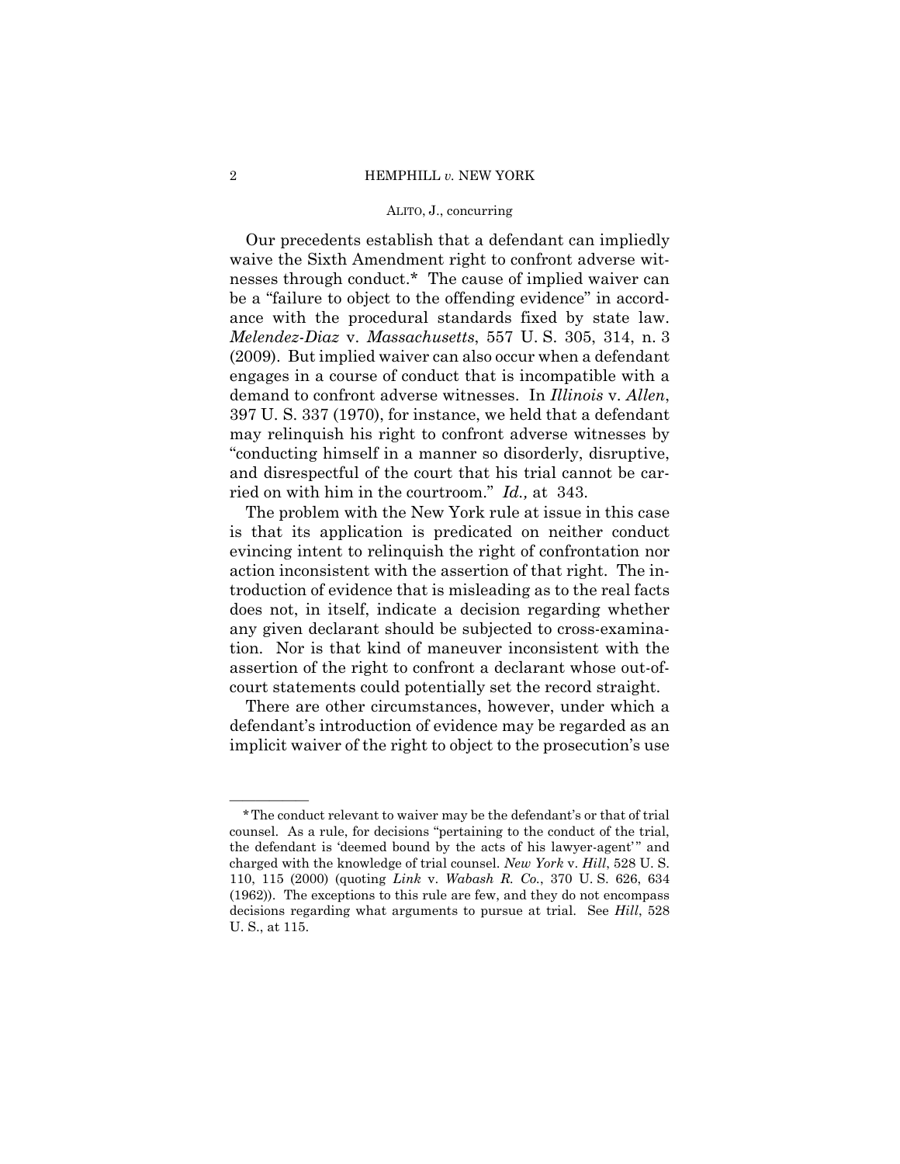Our precedents establish that a defendant can impliedly waive the Sixth Amendment right to confront adverse witnesses through conduct.\* The cause of implied waiver can be a "failure to object to the offending evidence" in accordance with the procedural standards fixed by state law. *Melendez-Diaz* v. *Massachusetts*, 557 U. S. 305, 314, n. 3 (2009). But implied waiver can also occur when a defendant engages in a course of conduct that is incompatible with a demand to confront adverse witnesses. In *Illinois* v. *Allen*, 397 U. S. 337 (1970), for instance, we held that a defendant may relinquish his right to confront adverse witnesses by "conducting himself in a manner so disorderly, disruptive, and disrespectful of the court that his trial cannot be carried on with him in the courtroom." *Id.,* at 343.

The problem with the New York rule at issue in this case is that its application is predicated on neither conduct evincing intent to relinquish the right of confrontation nor action inconsistent with the assertion of that right. The introduction of evidence that is misleading as to the real facts does not, in itself, indicate a decision regarding whether any given declarant should be subjected to cross-examination. Nor is that kind of maneuver inconsistent with the assertion of the right to confront a declarant whose out-ofcourt statements could potentially set the record straight.

There are other circumstances, however, under which a defendant's introduction of evidence may be regarded as an implicit waiver of the right to object to the prosecution's use

——————

<sup>\*</sup>The conduct relevant to waiver may be the defendant's or that of trial counsel. As a rule, for decisions "pertaining to the conduct of the trial, the defendant is 'deemed bound by the acts of his lawyer-agent'" and charged with the knowledge of trial counsel. *New York* v. *Hill*, 528 U. S. 110, 115 (2000) (quoting *Link* v. *Wabash R. Co.*, 370 U. S. 626, 634 (1962)). The exceptions to this rule are few, and they do not encompass decisions regarding what arguments to pursue at trial. See *Hill*, 528 U. S., at 115.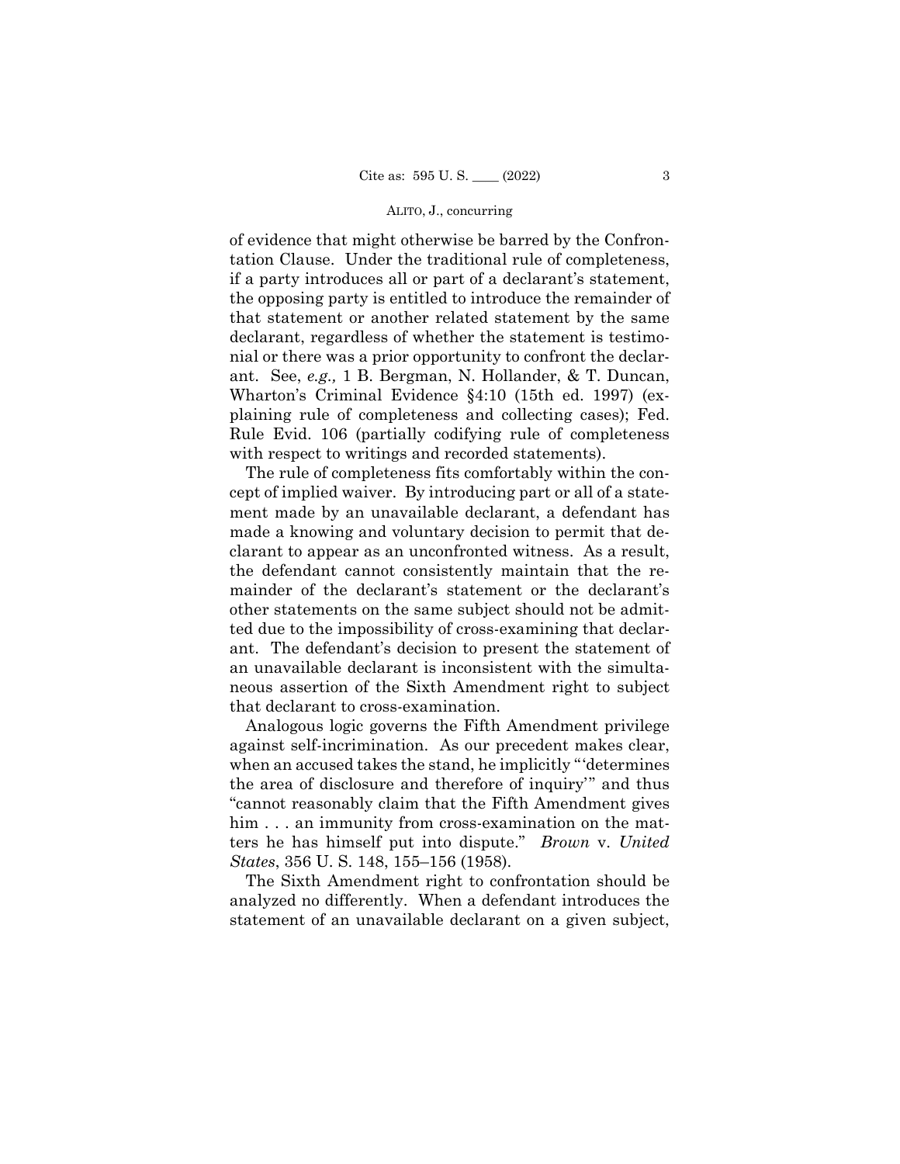of evidence that might otherwise be barred by the Confrontation Clause. Under the traditional rule of completeness, if a party introduces all or part of a declarant's statement, the opposing party is entitled to introduce the remainder of that statement or another related statement by the same declarant, regardless of whether the statement is testimonial or there was a prior opportunity to confront the declarant. See, *e.g.,* 1 B. Bergman, N. Hollander, & T. Duncan, Wharton's Criminal Evidence §4:10 (15th ed. 1997) (explaining rule of completeness and collecting cases); Fed. Rule Evid. 106 (partially codifying rule of completeness with respect to writings and recorded statements).

The rule of completeness fits comfortably within the concept of implied waiver. By introducing part or all of a statement made by an unavailable declarant, a defendant has made a knowing and voluntary decision to permit that declarant to appear as an unconfronted witness. As a result, the defendant cannot consistently maintain that the remainder of the declarant's statement or the declarant's other statements on the same subject should not be admitted due to the impossibility of cross-examining that declarant. The defendant's decision to present the statement of an unavailable declarant is inconsistent with the simultaneous assertion of the Sixth Amendment right to subject that declarant to cross-examination.

Analogous logic governs the Fifth Amendment privilege against self-incrimination. As our precedent makes clear, when an accused takes the stand, he implicitly "'determines the area of disclosure and therefore of inquiry'" and thus "cannot reasonably claim that the Fifth Amendment gives him . . . an immunity from cross-examination on the matters he has himself put into dispute." *Brown* v. *United States*, 356 U. S. 148, 155–156 (1958).

The Sixth Amendment right to confrontation should be analyzed no differently. When a defendant introduces the statement of an unavailable declarant on a given subject,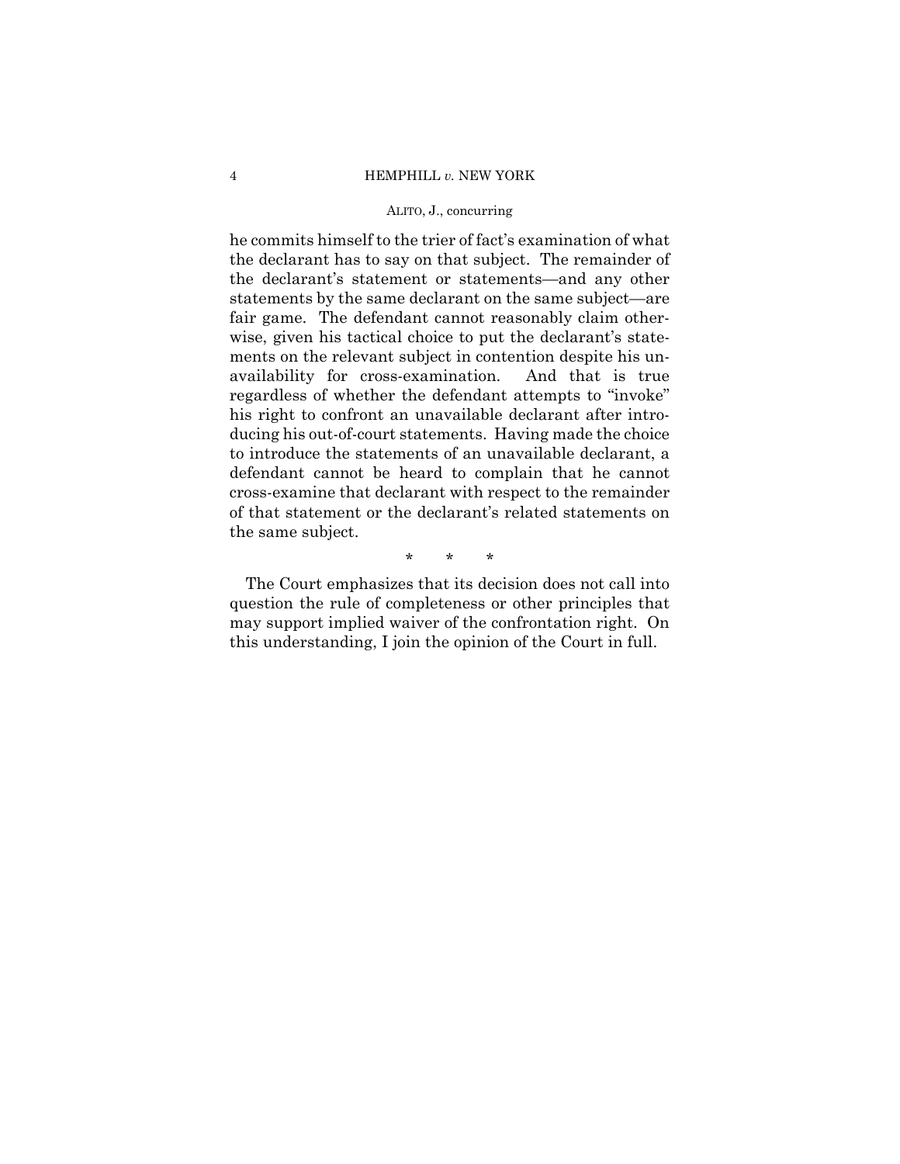he commits himself to the trier of fact's examination of what the declarant has to say on that subject. The remainder of the declarant's statement or statements—and any other statements by the same declarant on the same subject—are fair game. The defendant cannot reasonably claim otherwise, given his tactical choice to put the declarant's statements on the relevant subject in contention despite his unavailability for cross-examination. And that is true regardless of whether the defendant attempts to "invoke" his right to confront an unavailable declarant after introducing his out-of-court statements. Having made the choice to introduce the statements of an unavailable declarant, a defendant cannot be heard to complain that he cannot cross-examine that declarant with respect to the remainder of that statement or the declarant's related statements on the same subject.

\* \* \*

The Court emphasizes that its decision does not call into question the rule of completeness or other principles that may support implied waiver of the confrontation right. On this understanding, I join the opinion of the Court in full.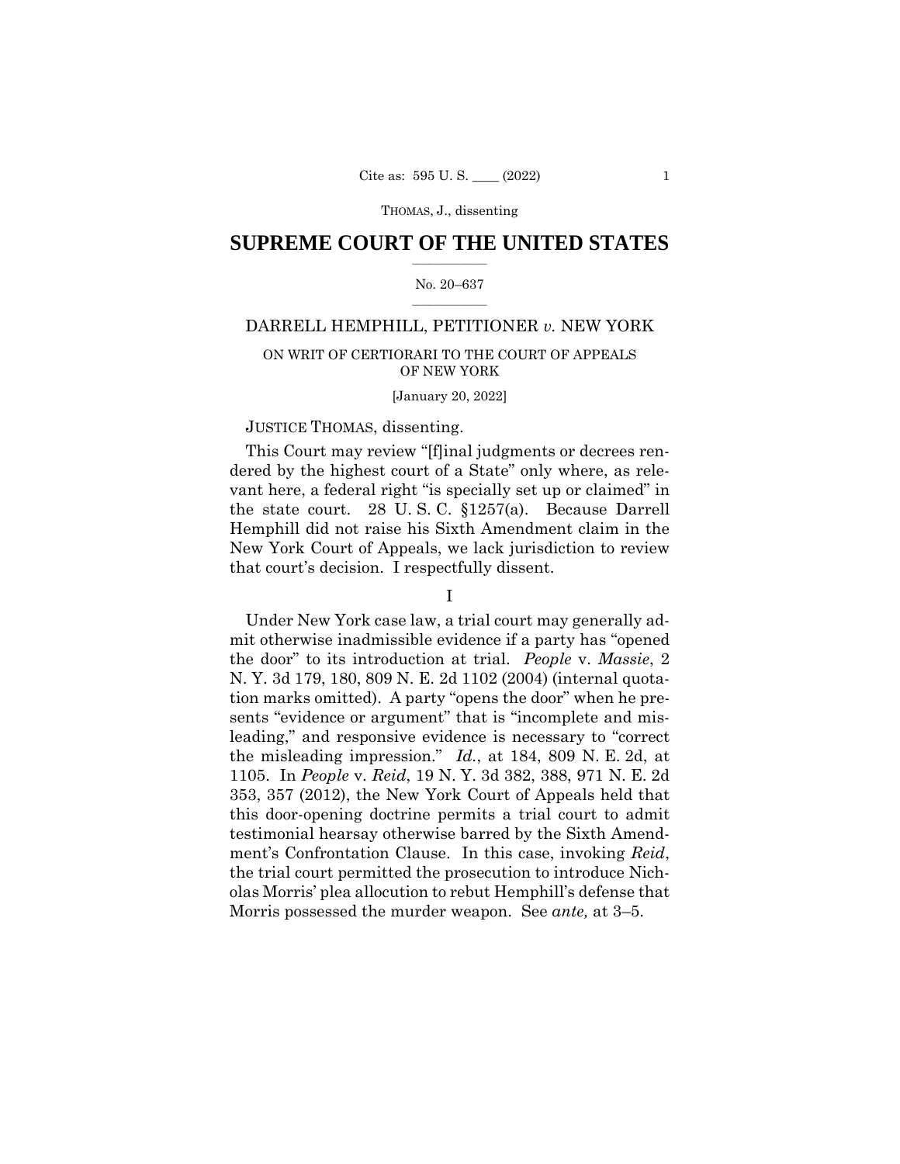## $\frac{1}{2}$  ,  $\frac{1}{2}$  ,  $\frac{1}{2}$  ,  $\frac{1}{2}$  ,  $\frac{1}{2}$  ,  $\frac{1}{2}$  ,  $\frac{1}{2}$ **SUPREME COURT OF THE UNITED STATES**

#### $\frac{1}{2}$  ,  $\frac{1}{2}$  ,  $\frac{1}{2}$  ,  $\frac{1}{2}$  ,  $\frac{1}{2}$  ,  $\frac{1}{2}$ No. 20–637

## DARRELL HEMPHILL, PETITIONER *v.* NEW YORK

## ON WRIT OF CERTIORARI TO THE COURT OF APPEALS OF NEW YORK

#### [January 20, 2022]

## JUSTICE THOMAS, dissenting.

This Court may review "[f]inal judgments or decrees rendered by the highest court of a State" only where, as relevant here, a federal right "is specially set up or claimed" in the state court. 28 U. S. C. §1257(a). Because Darrell Hemphill did not raise his Sixth Amendment claim in the New York Court of Appeals, we lack jurisdiction to review that court's decision. I respectfully dissent.

I

Under New York case law, a trial court may generally admit otherwise inadmissible evidence if a party has "opened the door" to its introduction at trial. *People* v. *Massie*, 2 N. Y. 3d 179, 180, 809 N. E. 2d 1102 (2004) (internal quotation marks omitted). A party "opens the door" when he presents "evidence or argument" that is "incomplete and misleading," and responsive evidence is necessary to "correct the misleading impression." *Id.*, at 184, 809 N. E. 2d, at 1105. In *People* v. *Reid*, 19 N. Y. 3d 382, 388, 971 N. E. 2d 353, 357 (2012), the New York Court of Appeals held that this door-opening doctrine permits a trial court to admit testimonial hearsay otherwise barred by the Sixth Amendment's Confrontation Clause. In this case, invoking *Reid*, the trial court permitted the prosecution to introduce Nicholas Morris' plea allocution to rebut Hemphill's defense that Morris possessed the murder weapon. See *ante,* at 3–5.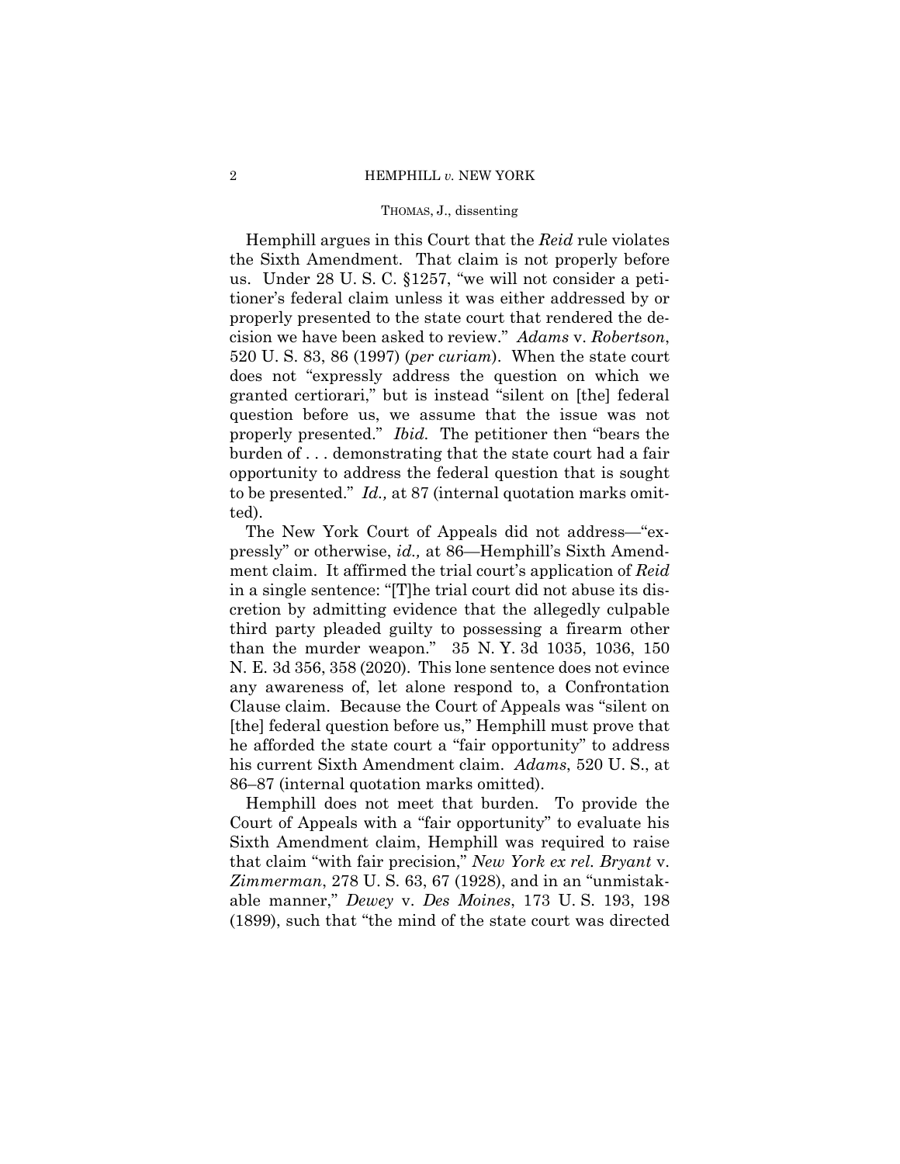#### 2 HEMPHILL *v.* NEW YORK

#### THOMAS, J., dissenting

Hemphill argues in this Court that the *Reid* rule violates the Sixth Amendment. That claim is not properly before us. Under 28 U. S. C. §1257, "we will not consider a petitioner's federal claim unless it was either addressed by or properly presented to the state court that rendered the decision we have been asked to review." *Adams* v. *Robertson*, 520 U. S. 83, 86 (1997) (*per curiam*). When the state court does not "expressly address the question on which we granted certiorari," but is instead "silent on [the] federal question before us, we assume that the issue was not properly presented." *Ibid.* The petitioner then "bears the burden of . . . demonstrating that the state court had a fair opportunity to address the federal question that is sought to be presented." *Id.,* at 87 (internal quotation marks omitted).

The New York Court of Appeals did not address—"expressly" or otherwise, *id.,* at 86—Hemphill's Sixth Amendment claim. It affirmed the trial court's application of *Reid*  in a single sentence: "[T]he trial court did not abuse its discretion by admitting evidence that the allegedly culpable third party pleaded guilty to possessing a firearm other than the murder weapon." 35 N. Y. 3d 1035, 1036, 150 N. E. 3d 356, 358 (2020). This lone sentence does not evince any awareness of, let alone respond to, a Confrontation Clause claim. Because the Court of Appeals was "silent on [the] federal question before us," Hemphill must prove that he afforded the state court a "fair opportunity" to address his current Sixth Amendment claim. *Adams*, 520 U. S., at 86–87 (internal quotation marks omitted).

Hemphill does not meet that burden. To provide the Court of Appeals with a "fair opportunity" to evaluate his Sixth Amendment claim, Hemphill was required to raise that claim "with fair precision," *New York ex rel. Bryant* v. *Zimmerman*, 278 U. S. 63, 67 (1928), and in an "unmistakable manner," *Dewey* v. *Des Moines*, 173 U. S. 193, 198 (1899), such that "the mind of the state court was directed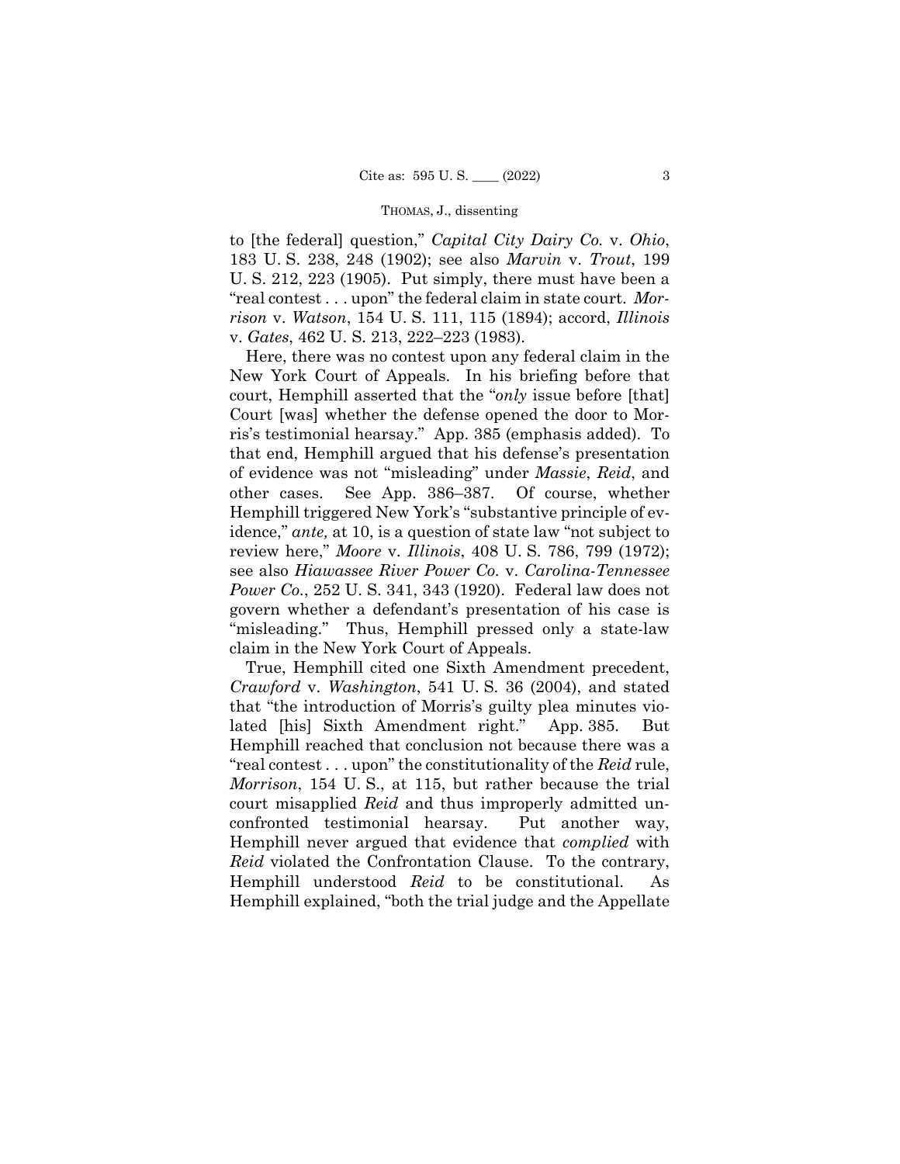to [the federal] question," *Capital City Dairy Co.* v. *Ohio*, 183 U. S. 238, 248 (1902); see also *Marvin* v. *Trout*, 199 U. S. 212, 223 (1905). Put simply, there must have been a "real contest . . . upon" the federal claim in state court. *Morrison* v. *Watson*, 154 U. S. 111, 115 (1894); accord, *Illinois*  v. *Gates*, 462 U. S. 213, 222–223 (1983).

Here, there was no contest upon any federal claim in the New York Court of Appeals. In his briefing before that court, Hemphill asserted that the "*only* issue before [that] Court [was] whether the defense opened the door to Morris's testimonial hearsay." App. 385 (emphasis added). To that end, Hemphill argued that his defense's presentation of evidence was not "misleading" under *Massie*, *Reid*, and other cases. See App. 386–387. Of course, whether Hemphill triggered New York's "substantive principle of evidence," *ante,* at 10, is a question of state law "not subject to review here," *Moore* v. *Illinois*, 408 U. S. 786, 799 (1972); see also *Hiawassee River Power Co.* v. *Carolina-Tennessee Power Co.*, 252 U. S. 341, 343 (1920). Federal law does not govern whether a defendant's presentation of his case is "misleading." Thus, Hemphill pressed only a state-law claim in the New York Court of Appeals.

True, Hemphill cited one Sixth Amendment precedent, *Crawford* v. *Washington*, 541 U. S. 36 (2004), and stated that "the introduction of Morris's guilty plea minutes violated [his] Sixth Amendment right." App. 385. But Hemphill reached that conclusion not because there was a "real contest . . . upon" the constitutionality of the *Reid* rule, *Morrison*, 154 U. S., at 115, but rather because the trial court misapplied *Reid* and thus improperly admitted unconfronted testimonial hearsay. Put another way, Hemphill never argued that evidence that *complied* with *Reid* violated the Confrontation Clause. To the contrary, Hemphill understood *Reid* to be constitutional. As Hemphill explained, "both the trial judge and the Appellate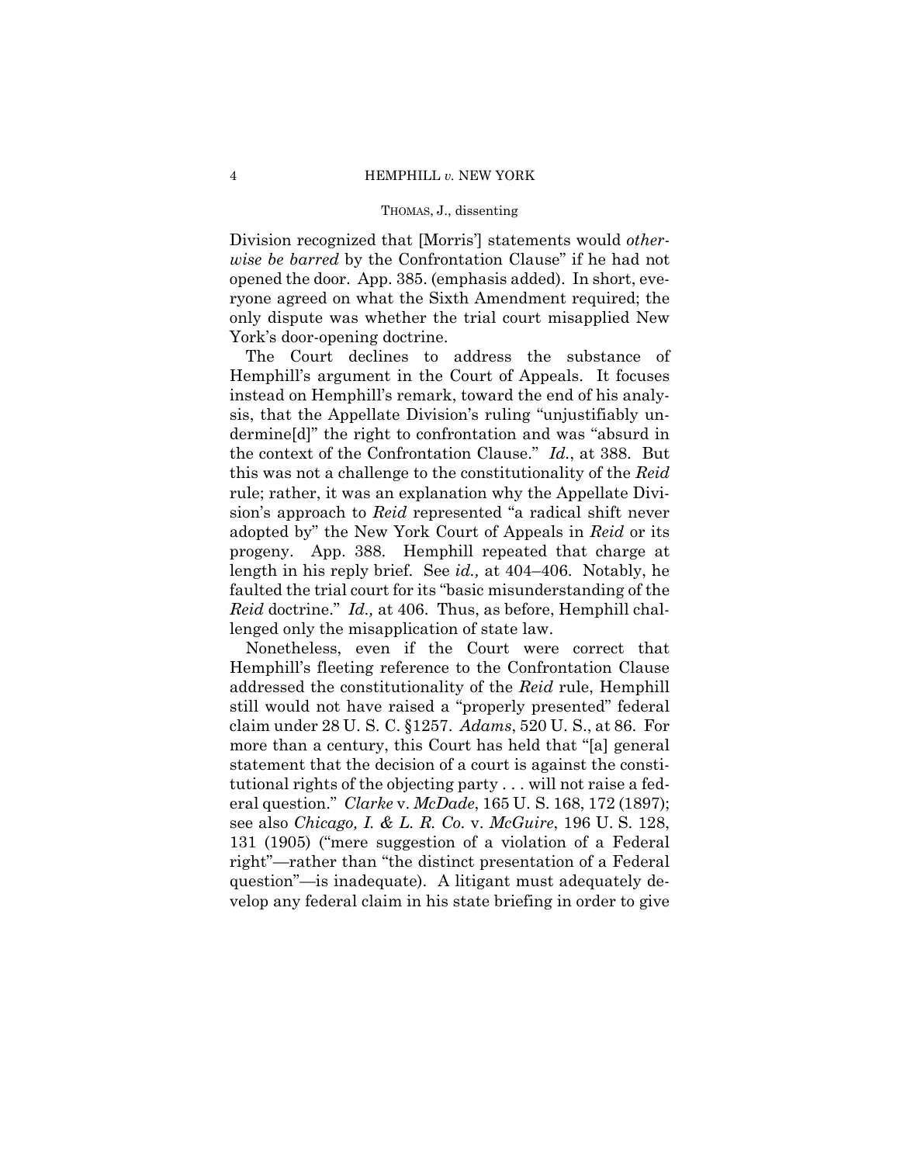Division recognized that [Morris'] statements would *otherwise be barred* by the Confrontation Clause" if he had not opened the door. App. 385. (emphasis added). In short, everyone agreed on what the Sixth Amendment required; the only dispute was whether the trial court misapplied New York's door-opening doctrine.

The Court declines to address the substance of Hemphill's argument in the Court of Appeals. It focuses instead on Hemphill's remark, toward the end of his analysis, that the Appellate Division's ruling "unjustifiably undermine[d]" the right to confrontation and was "absurd in the context of the Confrontation Clause." *Id.*, at 388. But this was not a challenge to the constitutionality of the *Reid*  rule; rather, it was an explanation why the Appellate Division's approach to *Reid* represented "a radical shift never adopted by" the New York Court of Appeals in *Reid* or its progeny. App. 388. Hemphill repeated that charge at length in his reply brief. See *id.,* at 404–406. Notably, he faulted the trial court for its "basic misunderstanding of the *Reid* doctrine." *Id.,* at 406. Thus, as before, Hemphill challenged only the misapplication of state law.

Nonetheless, even if the Court were correct that Hemphill's fleeting reference to the Confrontation Clause addressed the constitutionality of the *Reid* rule, Hemphill still would not have raised a "properly presented" federal claim under 28 U. S. C. §1257. *Adams*, 520 U. S., at 86. For more than a century, this Court has held that "[a] general statement that the decision of a court is against the constitutional rights of the objecting party . . . will not raise a federal question." *Clarke* v. *McDade*, 165 U. S. 168, 172 (1897); see also *Chicago, I. & L. R. Co.* v. *McGuire*, 196 U. S. 128, 131 (1905) ("mere suggestion of a violation of a Federal right"—rather than "the distinct presentation of a Federal question"—is inadequate). A litigant must adequately develop any federal claim in his state briefing in order to give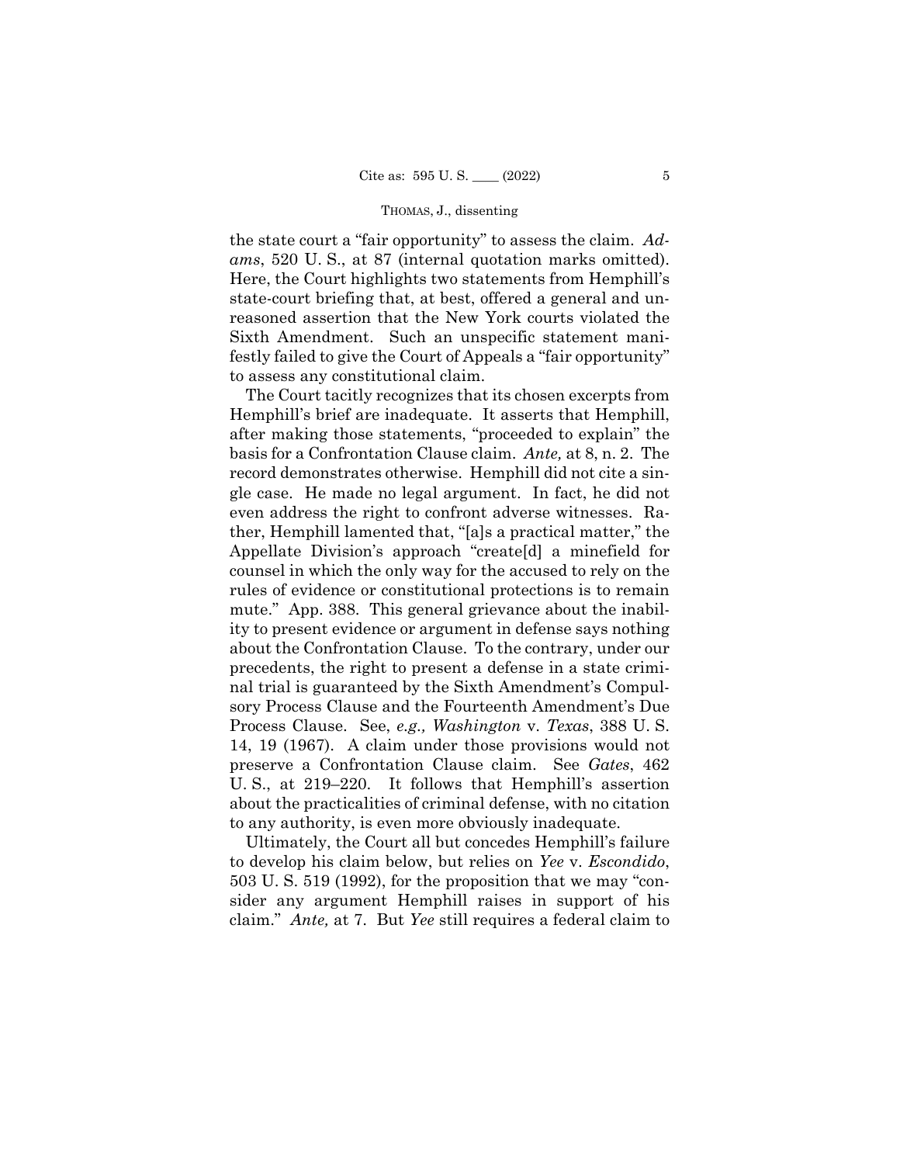the state court a "fair opportunity" to assess the claim. *Adams*, 520 U. S., at 87 (internal quotation marks omitted). Here, the Court highlights two statements from Hemphill's state-court briefing that, at best, offered a general and unreasoned assertion that the New York courts violated the Sixth Amendment. Such an unspecific statement manifestly failed to give the Court of Appeals a "fair opportunity" to assess any constitutional claim.

The Court tacitly recognizes that its chosen excerpts from Hemphill's brief are inadequate. It asserts that Hemphill, after making those statements, "proceeded to explain" the basis for a Confrontation Clause claim. *Ante,* at 8, n. 2. The record demonstrates otherwise. Hemphill did not cite a single case. He made no legal argument. In fact, he did not even address the right to confront adverse witnesses. Rather, Hemphill lamented that, "[a]s a practical matter," the Appellate Division's approach "create[d] a minefield for counsel in which the only way for the accused to rely on the rules of evidence or constitutional protections is to remain mute." App. 388. This general grievance about the inability to present evidence or argument in defense says nothing about the Confrontation Clause. To the contrary, under our precedents, the right to present a defense in a state criminal trial is guaranteed by the Sixth Amendment's Compulsory Process Clause and the Fourteenth Amendment's Due Process Clause. See, *e.g., Washington* v. *Texas*, 388 U. S. 14, 19 (1967). A claim under those provisions would not preserve a Confrontation Clause claim. See *Gates*, 462 U. S., at 219–220. It follows that Hemphill's assertion about the practicalities of criminal defense, with no citation to any authority, is even more obviously inadequate.

Ultimately, the Court all but concedes Hemphill's failure to develop his claim below, but relies on *Yee* v. *Escondido*, 503 U. S. 519 (1992), for the proposition that we may "consider any argument Hemphill raises in support of his claim." *Ante,* at 7. But *Yee* still requires a federal claim to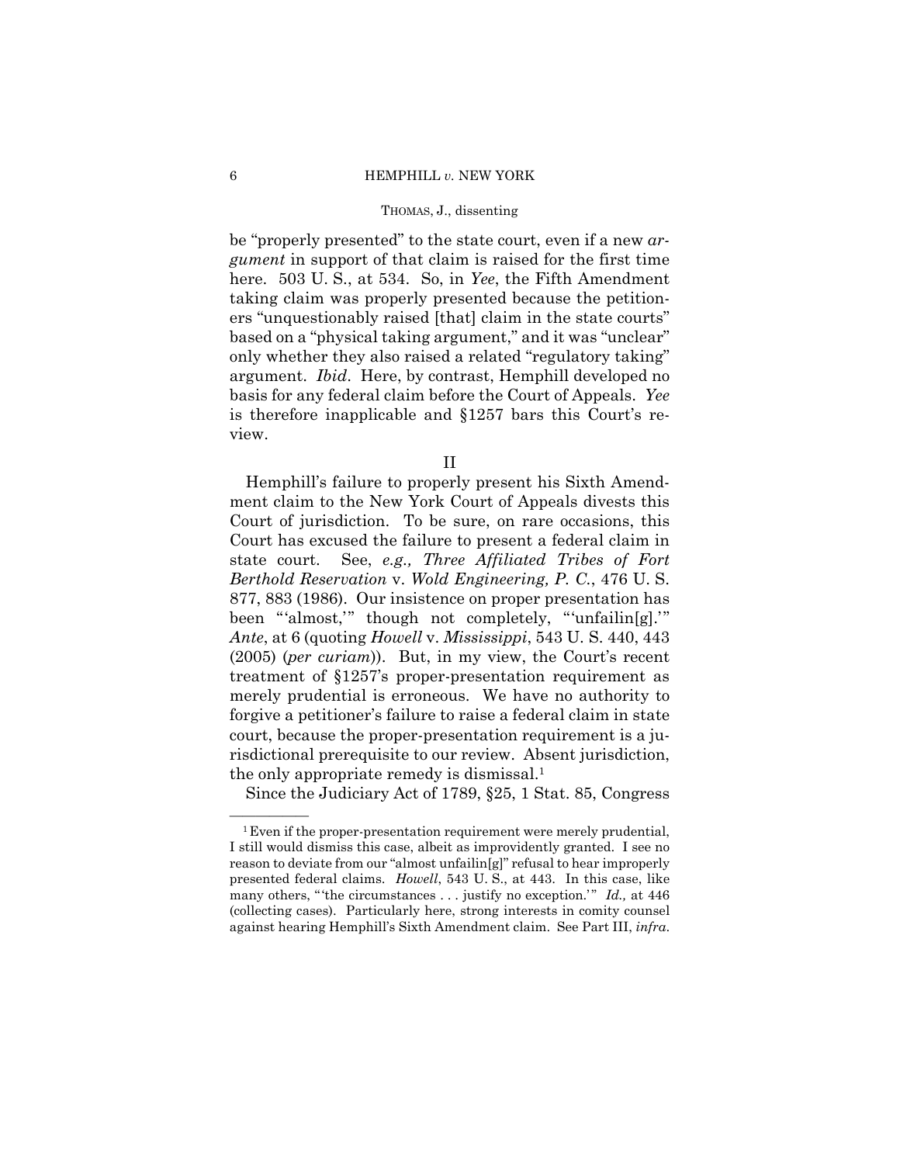be "properly presented" to the state court, even if a new *argument* in support of that claim is raised for the first time here. 503 U. S., at 534. So, in *Yee*, the Fifth Amendment taking claim was properly presented because the petitioners "unquestionably raised [that] claim in the state courts" based on a "physical taking argument," and it was "unclear" only whether they also raised a related "regulatory taking" argument. *Ibid*. Here, by contrast, Hemphill developed no basis for any federal claim before the Court of Appeals. *Yee*  is therefore inapplicable and §1257 bars this Court's review.

II

Hemphill's failure to properly present his Sixth Amendment claim to the New York Court of Appeals divests this Court of jurisdiction. To be sure, on rare occasions, this Court has excused the failure to present a federal claim in state court. See, *e.g., Three Affiliated Tribes of Fort Berthold Reservation* v. *Wold Engineering, P. C.*, 476 U. S. 877, 883 (1986). Our insistence on proper presentation has been "'almost,'" though not completely, "'unfailin[g].'" *Ante*, at 6 (quoting *Howell* v. *Mississippi*, 543 U. S. 440, 443 (2005) (*per curiam*)). But, in my view, the Court's recent treatment of §1257's proper-presentation requirement as merely prudential is erroneous. We have no authority to forgive a petitioner's failure to raise a federal claim in state court, because the proper-presentation requirement is a jurisdictional prerequisite to our review. Absent jurisdiction, the only appropriate remedy is dismissal.1

Since the Judiciary Act of 1789, §25, 1 Stat. 85, Congress

 ${}^{1}$  Even if the proper-presentation requirement were merely prudential, I still would dismiss this case, albeit as improvidently granted. I see no reason to deviate from our "almost unfailin[g]" refusal to hear improperly presented federal claims. *Howell*, 543 U. S., at 443. In this case, like many others, "the circumstances . . . justify no exception.'" *Id.*, at 446 (collecting cases). Particularly here, strong interests in comity counsel against hearing Hemphill's Sixth Amendment claim. See Part III, *infra*.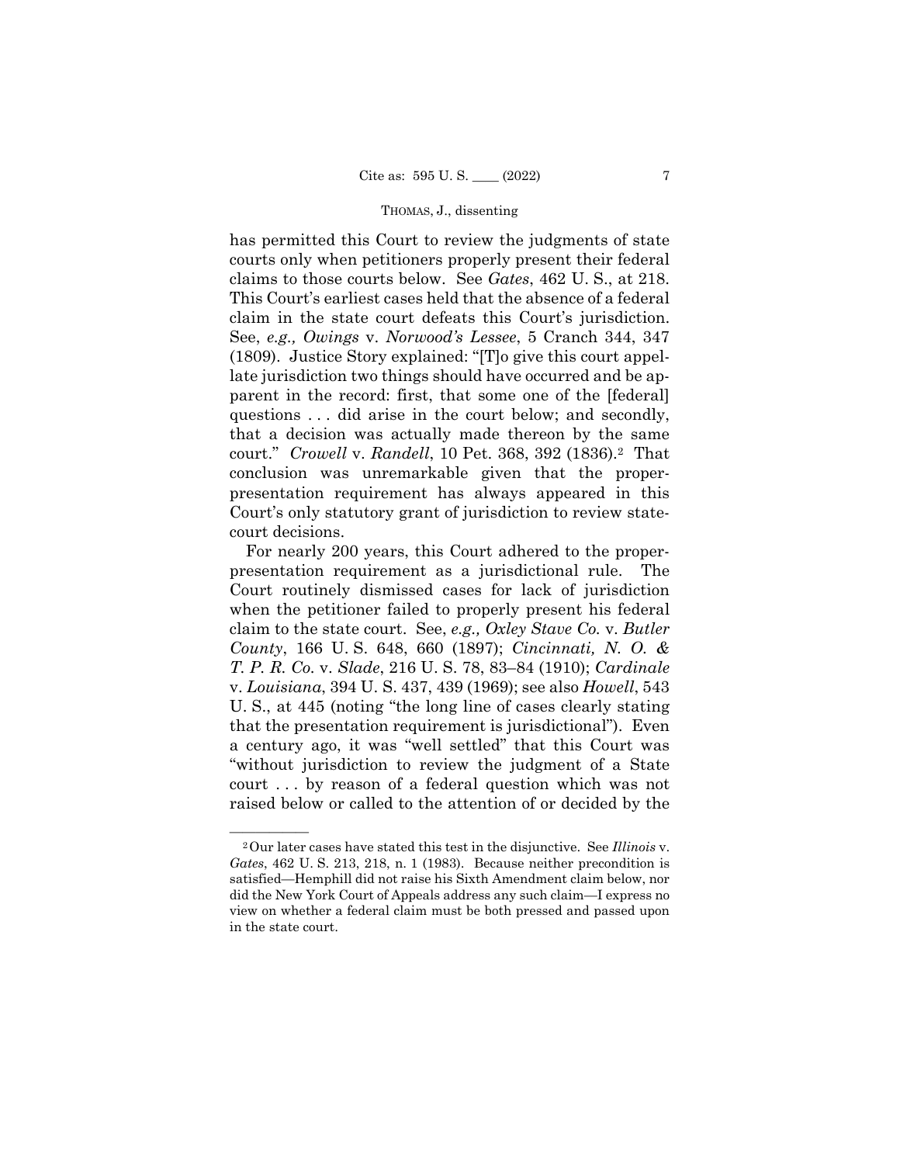has permitted this Court to review the judgments of state courts only when petitioners properly present their federal claims to those courts below. See *Gates*, 462 U. S., at 218. This Court's earliest cases held that the absence of a federal claim in the state court defeats this Court's jurisdiction. See, *e.g., Owings* v. *Norwood's Lessee*, 5 Cranch 344, 347 (1809). Justice Story explained: "[T]o give this court appellate jurisdiction two things should have occurred and be apparent in the record: first, that some one of the [federal] questions . . . did arise in the court below; and secondly, that a decision was actually made thereon by the same court." *Crowell* v. *Randell*, 10 Pet. 368, 392 (1836).2 That conclusion was unremarkable given that the properpresentation requirement has always appeared in this Court's only statutory grant of jurisdiction to review statecourt decisions.

County, 166 U.S. 648, 660 (1897); *Cincinnati, N.O. &* For nearly 200 years, this Court adhered to the properpresentation requirement as a jurisdictional rule. The Court routinely dismissed cases for lack of jurisdiction when the petitioner failed to properly present his federal claim to the state court. See, *e.g., Oxley Stave Co.* v. *Butler County*, 166 U. S. 648, 660 (1897); *Cincinnati, N. O. & T. P. R. Co.* v. *Slade*, 216 U. S. 78, 83–84 (1910); *Cardinale*  v. *Louisiana*, 394 U. S. 437, 439 (1969); see also *Howell*, 543 U. S., at 445 (noting "the long line of cases clearly stating that the presentation requirement is jurisdictional"). Even a century ago, it was "well settled" that this Court was "without jurisdiction to review the judgment of a State court . . . by reason of a federal question which was not raised below or called to the attention of or decided by the

<sup>&</sup>lt;sup>2</sup>Our later cases have stated this test in the disjunctive. See *Illinois* v. *Gates*, 462 U. S. 213, 218, n. 1 (1983). Because neither precondition is satisfied—Hemphill did not raise his Sixth Amendment claim below, nor did the New York Court of Appeals address any such claim—I express no view on whether a federal claim must be both pressed and passed upon in the state court.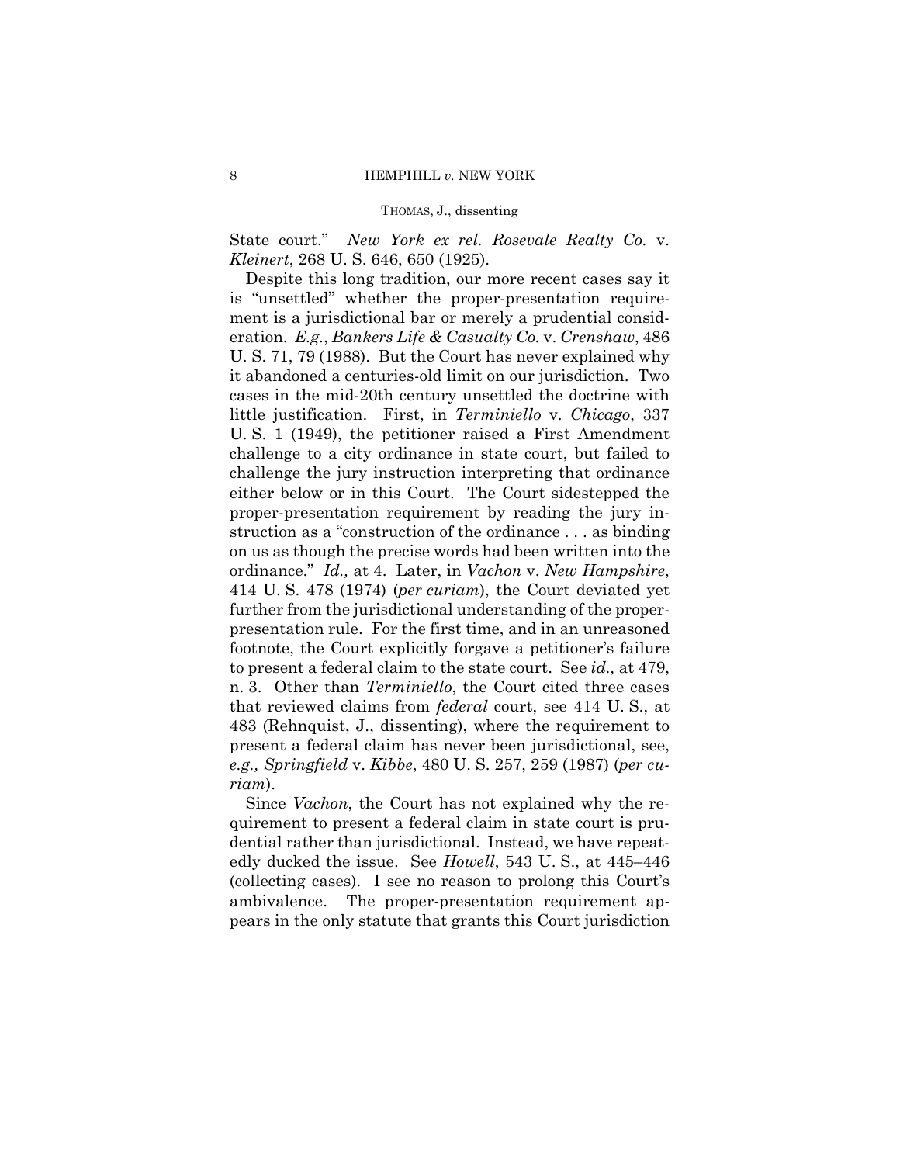State court." *New York ex rel. Rosevale Realty Co.* v. *Kleinert*, 268 U. S. 646, 650 (1925).

Despite this long tradition, our more recent cases say it is "unsettled" whether the proper-presentation requirement is a jurisdictional bar or merely a prudential consideration. *E.g.*, *Bankers Life & Casualty Co.* v. *Crenshaw*, 486 U. S. 71, 79 (1988). But the Court has never explained why it abandoned a centuries-old limit on our jurisdiction. Two cases in the mid-20th century unsettled the doctrine with little justification. First, in *Terminiello* v. *Chicago*, 337 U. S. 1 (1949), the petitioner raised a First Amendment challenge to a city ordinance in state court, but failed to challenge the jury instruction interpreting that ordinance either below or in this Court. The Court sidestepped the proper-presentation requirement by reading the jury instruction as a "construction of the ordinance . . . as binding on us as though the precise words had been written into the ordinance." *Id.,* at 4. Later, in *Vachon* v. *New Hampshire*, 414 U. S. 478 (1974) (*per curiam*), the Court deviated yet further from the jurisdictional understanding of the properpresentation rule. For the first time, and in an unreasoned footnote, the Court explicitly forgave a petitioner's failure to present a federal claim to the state court. See *id.,* at 479, n. 3. Other than *Terminiello*, the Court cited three cases that reviewed claims from *federal* court, see 414 U. S., at 483 (Rehnquist, J., dissenting), where the requirement to present a federal claim has never been jurisdictional, see, *e.g., Springfield* v. *Kibbe*, 480 U. S. 257, 259 (1987) (*per curiam*).

Since *Vachon*, the Court has not explained why the requirement to present a federal claim in state court is prudential rather than jurisdictional. Instead, we have repeatedly ducked the issue. See *Howell*, 543 U. S., at 445–446 (collecting cases). I see no reason to prolong this Court's ambivalence. The proper-presentation requirement appears in the only statute that grants this Court jurisdiction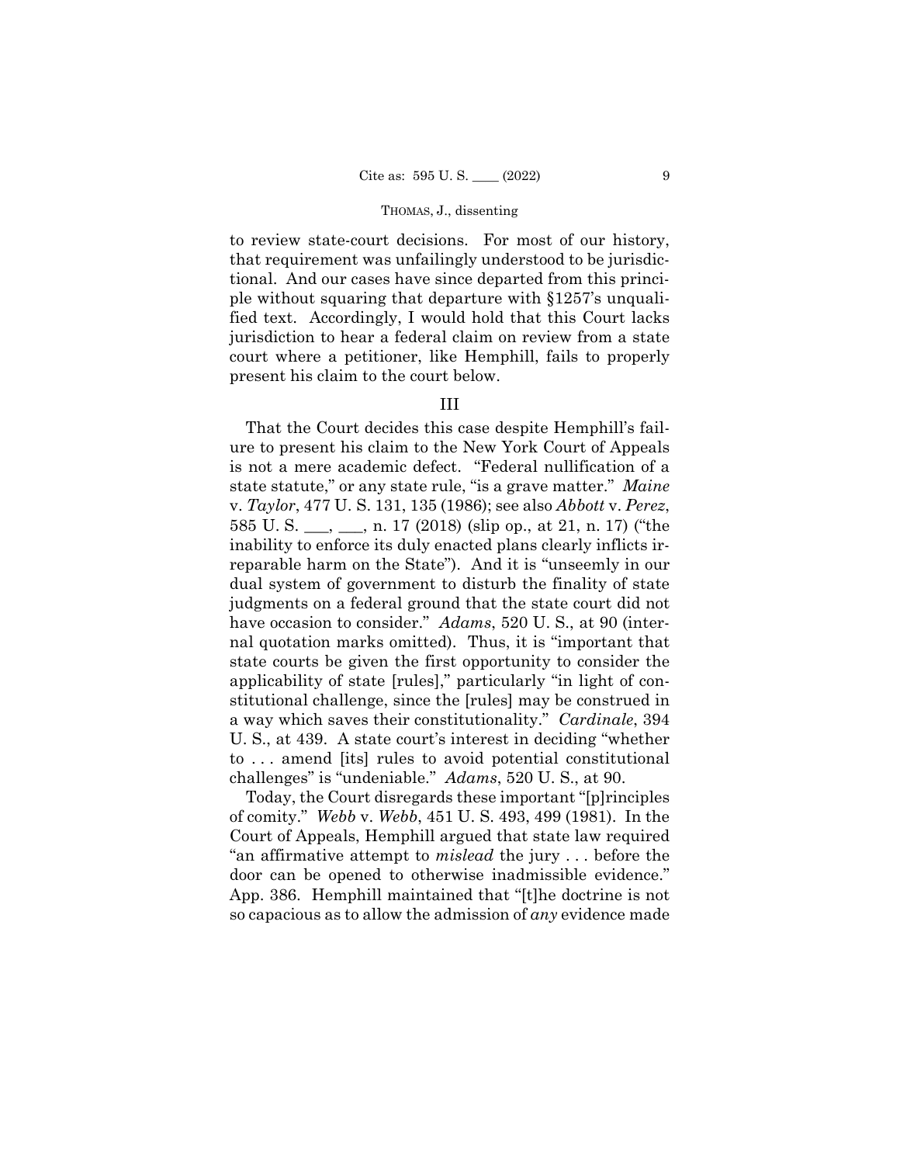to review state-court decisions. For most of our history, that requirement was unfailingly understood to be jurisdictional. And our cases have since departed from this principle without squaring that departure with §1257's unqualified text. Accordingly, I would hold that this Court lacks jurisdiction to hear a federal claim on review from a state court where a petitioner, like Hemphill, fails to properly present his claim to the court below.

## III

That the Court decides this case despite Hemphill's failure to present his claim to the New York Court of Appeals is not a mere academic defect. "Federal nullification of a state statute," or any state rule, "is a grave matter." *Maine*  v. *Taylor*, 477 U. S. 131, 135 (1986); see also *Abbott* v. *Perez*, 585 U. S. \_\_\_, \_\_\_, n. 17 (2018) (slip op., at 21, n. 17) ("the inability to enforce its duly enacted plans clearly inflicts irreparable harm on the State"). And it is "unseemly in our dual system of government to disturb the finality of state judgments on a federal ground that the state court did not have occasion to consider." *Adams*, 520 U. S., at 90 (internal quotation marks omitted). Thus, it is "important that state courts be given the first opportunity to consider the applicability of state [rules]," particularly "in light of constitutional challenge, since the [rules] may be construed in a way which saves their constitutionality." *Cardinale*, 394 U. S., at 439. A state court's interest in deciding "whether to . . . amend [its] rules to avoid potential constitutional challenges" is "undeniable." *Adams*, 520 U. S., at 90.

Today, the Court disregards these important "[p]rinciples of comity." *Webb* v. *Webb*, 451 U. S. 493, 499 (1981). In the Court of Appeals, Hemphill argued that state law required "an affirmative attempt to *mislead* the jury . . . before the door can be opened to otherwise inadmissible evidence." App. 386. Hemphill maintained that "[t]he doctrine is not so capacious as to allow the admission of *any* evidence made